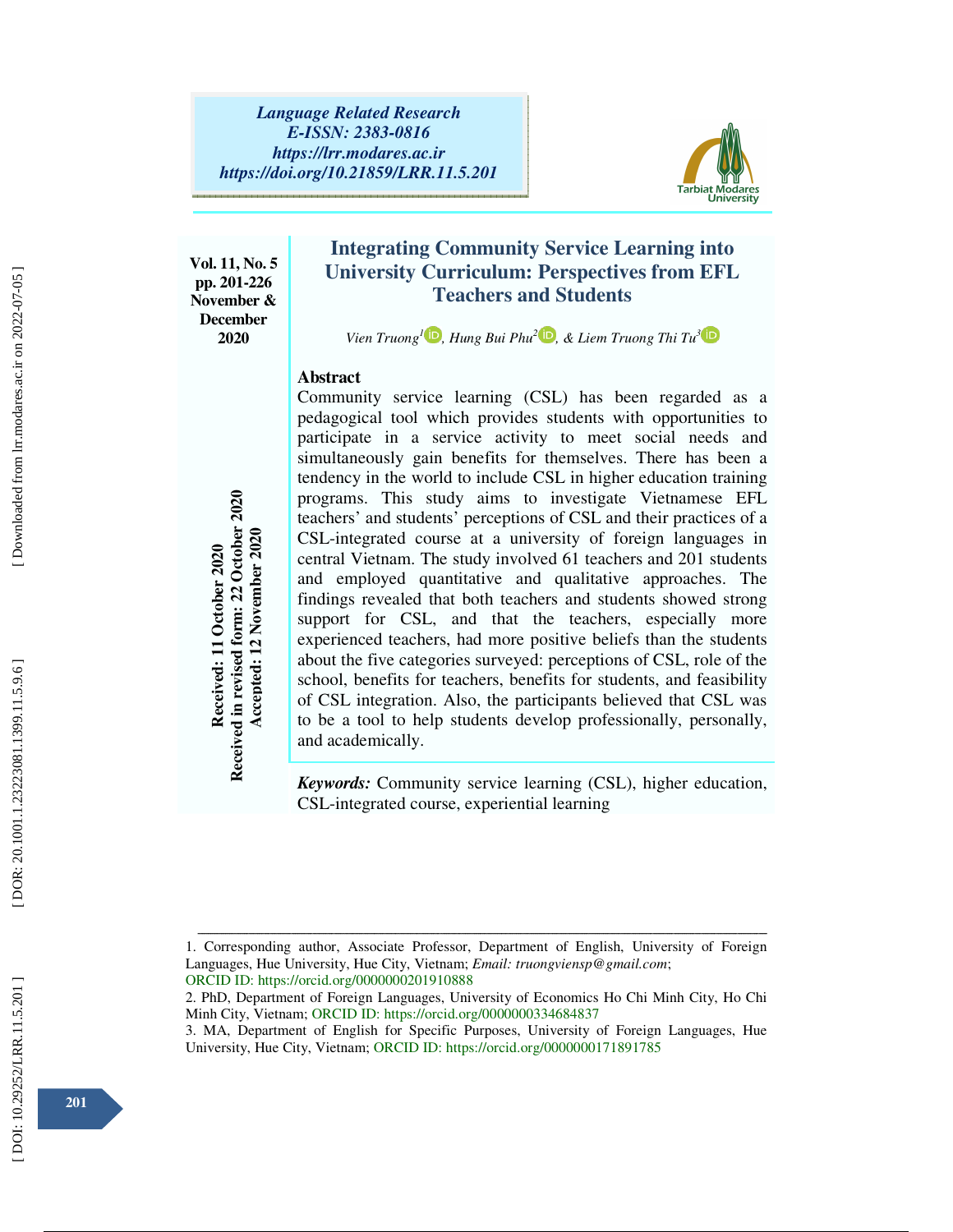

**Vol. 11, No. 5 pp. 201-226 November & December 2020** 

# **Integrating Community Service Learning into University Curriculum: Perspectives from EFL Teachers and Students**

*Vien Truong*<sup><sup>*1*</sup> *D, Hung Bui Phu<sup>2</sup> D, & Liem Truong Thi Tu<sup>3</sup></sup>* 

## **Abstract**

Community service learning (CSL) has been regarded as a pedagogical tool which provides students with opportunities to participate in a service activity to meet social needs and simultaneously gain benefits for themselves. There has been a tendency in the world to include CSL in higher education training programs. This study aims to investigate Vietnamese EFL teachers' and students' perceptions of CSL and their practices of a CSL-integrated course at a university of foreign languages in central Vietnam. The study involved 61 teachers and 201 students and employed quantitative and qualitative approaches. The findings revealed that both teachers and students showed strong support for CSL, and that the teachers, especially more experienced teachers, had more positive beliefs than the students about the five categories surveyed: perceptions of CSL, role of the school, benefits for teachers, benefits for students, and feasibility of CSL integration. Also, the participants believed that CSL was to be a tool to help students develop professionally, personally, and academically. Programs. This study aims to investigate Vietnam; CSCL and the City and the City and employed quantitative and analogological particles and employed quantitative and qualitative approximate and employed quantitative and st

*Keywords:* Community service learning (CSL), higher education, CSL-integrated course, experiential learning

Downloaded from lrr.modares.ac.ir on 2022-07-05

ــــــــــــــــــــــــــــــــــــــــــــــــــــــــــــــــــــــــــــــــــــــــــــــــــــــــــــــــــــــــــــــــــــــــــــــــــــــــــــــــــــــــــــــــــــــــــــــــــــــــــــــــــــــــــــــــــــــــــــــــــــــــــــــــــــــــــــ 1. Corresponding author, Associate Professor, Department of English, University of Foreign Languages, Hue University, Hue City, Vietnam; *Email: truongviensp@gmail.com*; ORCID ID: https://orcid.org/0000000201910888

<sup>2.</sup> PhD, Department of Foreign Languages, University of Economics Ho Chi Minh City, Ho Chi Minh City, Vietnam; ORCID ID: https://orcid.org/0000000334684837

<sup>3.</sup> MA, Department of English for Specific Purposes, University of Foreign Languages, Hue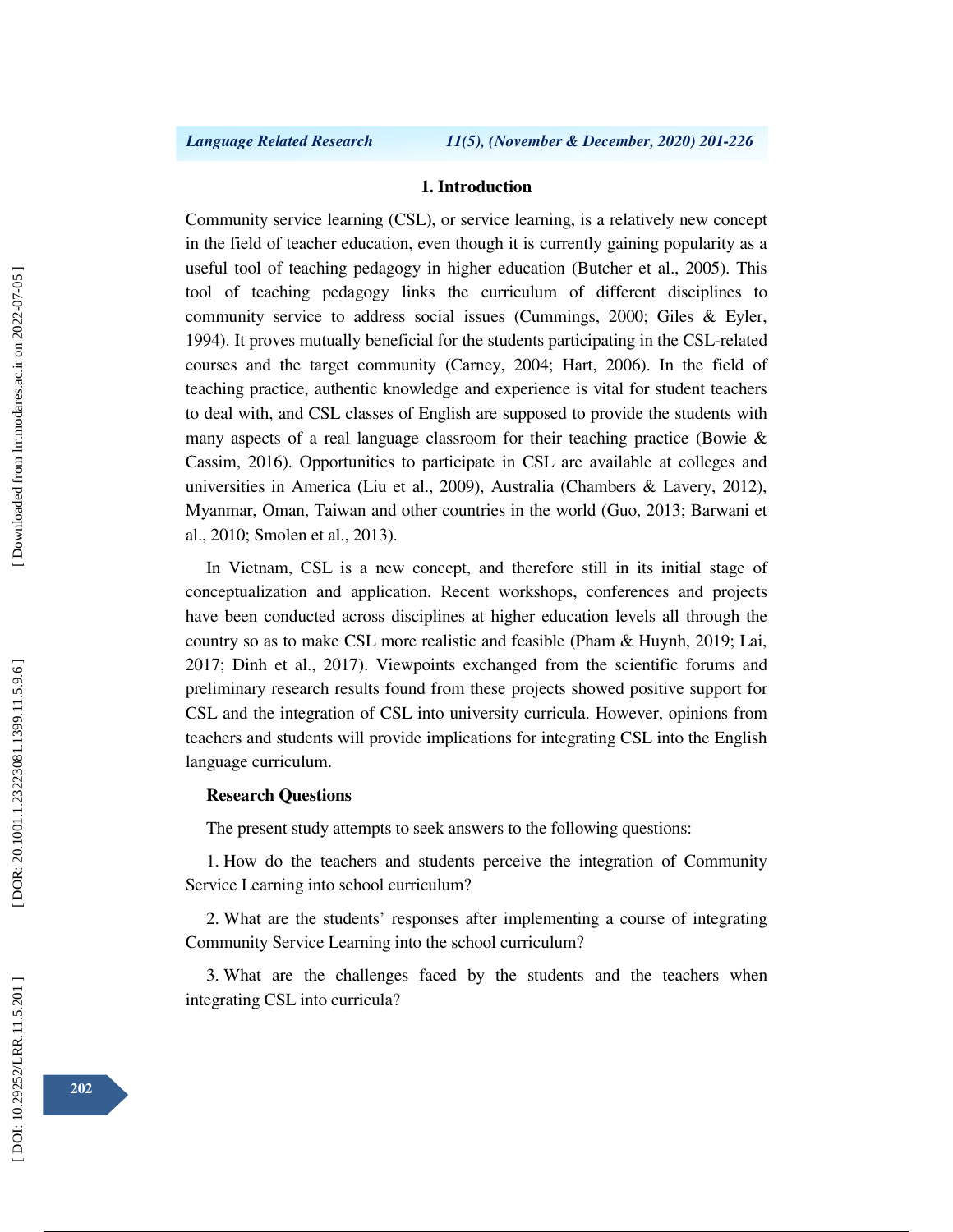### **1. Introduction**

Community service learning (CSL), or service learning, is a relatively new concept in the field of teacher education, even though it is currently gaining popularity as a useful tool of teaching pedagogy in higher education (Butcher et al., 2005). This tool of teaching pedagogy links the curriculum of different disciplines to community service to address social issues (Cummings, 2000; Giles & Eyler, 1994). It proves mutually beneficial for the students participating in the CSL-related courses and the target community (Carney, 2004; Hart, 2006). In the field of teaching practice, authentic knowledge and experience is vital for student teachers to deal with, and CSL classes of English are supposed to provide the students with many aspects of a real language classroom for their teaching practice (Bowie  $\&$ Cassim, 2016). Opportunities to participate in CSL are available at colleges and universities in America (Liu et al., 2009), Australia (Chambers & Lavery, 2012), Myanmar, Oman, Taiwan and other countries in the world (Guo, 2013; Barwani et al., 2010; Smolen et al., 2013).

In Vietnam, CSL is a new concept, and therefore still in its initial stage of conceptualization and application. Recent workshops, conferences and projects have been conducted across disciplines at higher education levels all through the country so as to make CSL more realistic and feasible (Pham & Huynh, 2019; Lai, 2017; Dinh et al., 2017). Viewpoints exchanged from the scientific forums and preliminary research results found from these projects showed positive support for CSL and the integration of CSL into university curricula. However, opinions from teachers and students will provide implications for integrating CSL into the English language curriculum.

### **Research Questions**

The present study attempts to seek answers to the following questions:

1. How do the teachers and students perceive the integration of Community Service Learning into school curriculum?

2. What are the students' responses after implementing a course of integrating Community Service Learning into the school curriculum?

3. What are the challenges faced by the students and the teachers when integrating CSL into curricula?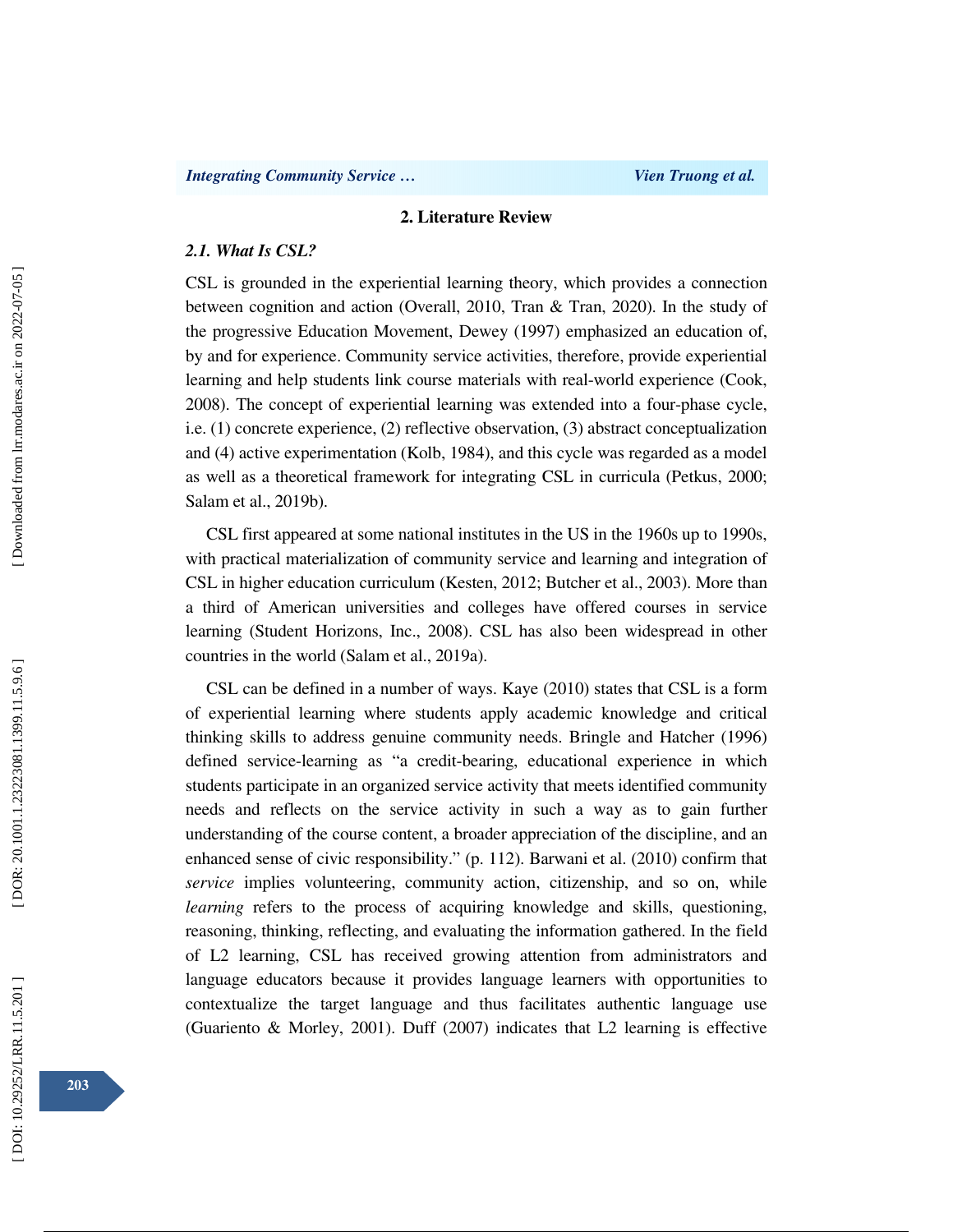### **2. Literature Review**

### *2.1. What Is CSL?*

CSL is grounded in the experiential learning theory, which provides a connection between cognition and action (Overall, 2010, Tran & Tran, 2020). In the study of the progressive Education Movement, Dewey (1997) emphasized an education of, by and for experience. Community service activities, therefore, provide experiential learning and help students link course materials with real-world experience (Cook, 2008). The concept of experiential learning was extended into a four-phase cycle, i.e. (1) concrete experience, (2) reflective observation, (3) abstract conceptualization and (4) active experimentation (Kolb, 1984), and this cycle was regarded as a model as well as a theoretical framework for integrating CSL in curricula (Petkus, 2000; Salam et al., 2019b).

CSL first appeared at some national institutes in the US in the 1960s up to 1990s, with practical materialization of community service and learning and integration of CSL in higher education curriculum (Kesten, 2012; Butcher et al., 2003). More than a third of American universities and colleges have offered courses in service learning (Student Horizons, Inc., 2008). CSL has also been widespread in other countries in the world (Salam et al., 2019a).

CSL can be defined in a number of ways. Kaye (2010) states that CSL is a form of experiential learning where students apply academic knowledge and critical thinking skills to address genuine community needs. Bringle and Hatcher (1996) defined service-learning as "a credit-bearing, educational experience in which students participate in an organized service activity that meets identified community needs and reflects on the service activity in such a way as to gain further understanding of the course content, a broader appreciation of the discipline, and an enhanced sense of civic responsibility." (p. 112). Barwani et al. (2010) confirm that *service* implies volunteering, community action, citizenship, and so on, while *learning* refers to the process of acquiring knowledge and skills, questioning, reasoning, thinking, reflecting, and evaluating the information gathered. In the field of L2 learning, CSL has received growing attention from administrators and language educators because it provides language learners with opportunities to contextualize the target language and thus facilitates authentic language use (Guariento & Morley, 2001). Duff (2007) indicates that L2 learning is effective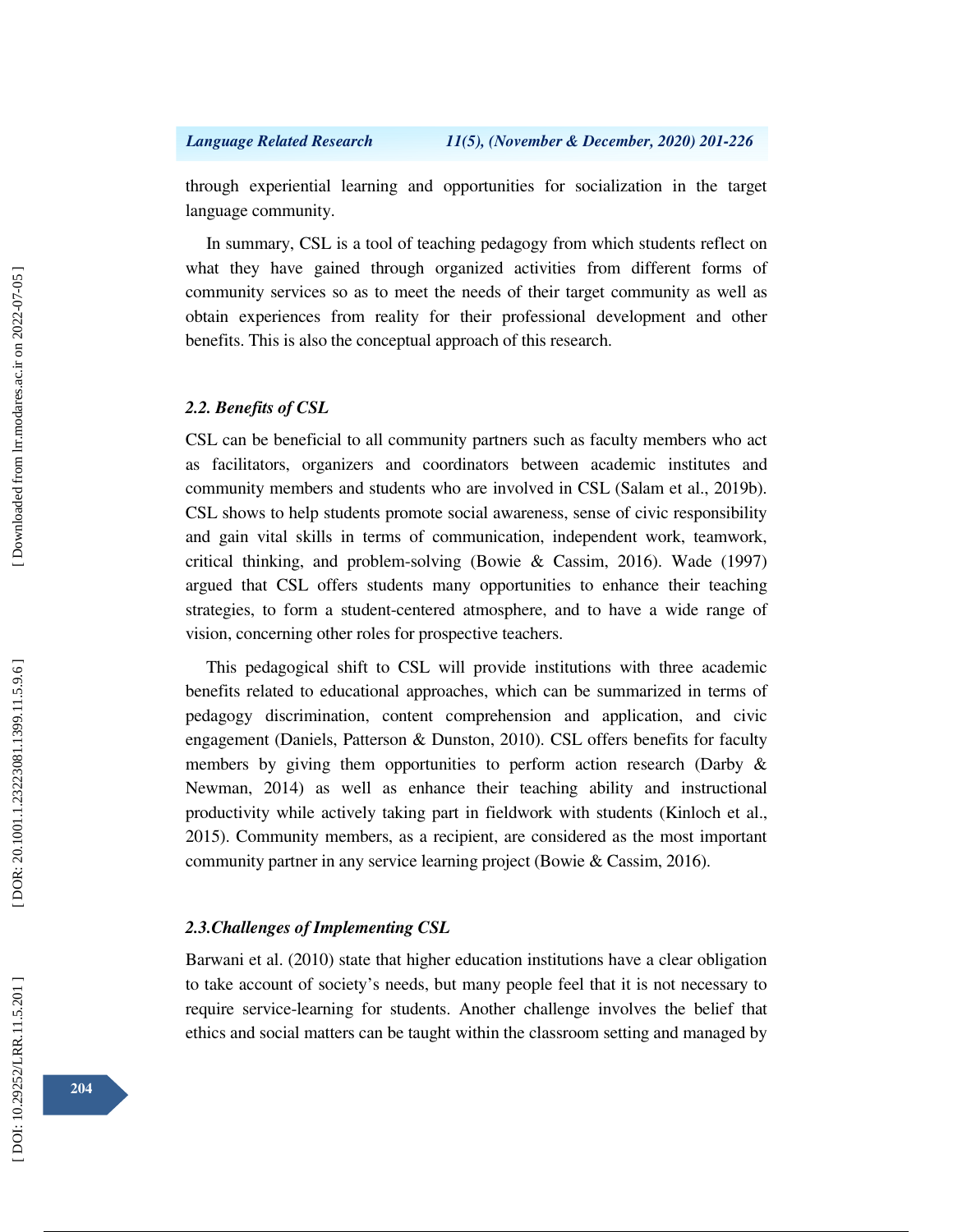through experiential learning and opportunities for socialization in the target language community.

In summary, CSL is a tool of teaching pedagogy from which students reflect on what they have gained through organized activities from different forms of community services so as to meet the needs of their target community as well as obtain experiences from reality for their professional development and other benefits. This is also the conceptual approach of this research.

### *2.2. Benefits of CSL*

CSL can be beneficial to all community partners such as faculty members who act as facilitators, organizers and coordinators between academic institutes and community members and students who are involved in CSL (Salam et al., 2019b). CSL shows to help students promote social awareness, sense of civic responsibility and gain vital skills in terms of communication, independent work, teamwork, critical thinking, and problem-solving (Bowie & Cassim, 2016). Wade (1997) argued that CSL offers students many opportunities to enhance their teaching strategies, to form a student-centered atmosphere, and to have a wide range of vision, concerning other roles for prospective teachers.

This pedagogical shift to CSL will provide institutions with three academic benefits related to educational approaches, which can be summarized in terms of pedagogy discrimination, content comprehension and application, and civic engagement (Daniels, Patterson & Dunston, 2010). CSL offers benefits for faculty members by giving them opportunities to perform action research (Darby & Newman, 2014) as well as enhance their teaching ability and instructional productivity while actively taking part in fieldwork with students (Kinloch et al., 2015). Community members, as a recipient, are considered as the most important community partner in any service learning project (Bowie & Cassim, 2016).

### *2.3.Challenges of Implementing CSL*

Barwani et al. (2010) state that higher education institutions have a clear obligation to take account of society's needs, but many people feel that it is not necessary to require service-learning for students. Another challenge involves the belief that ethics and social matters can be taught within the classroom setting and managed by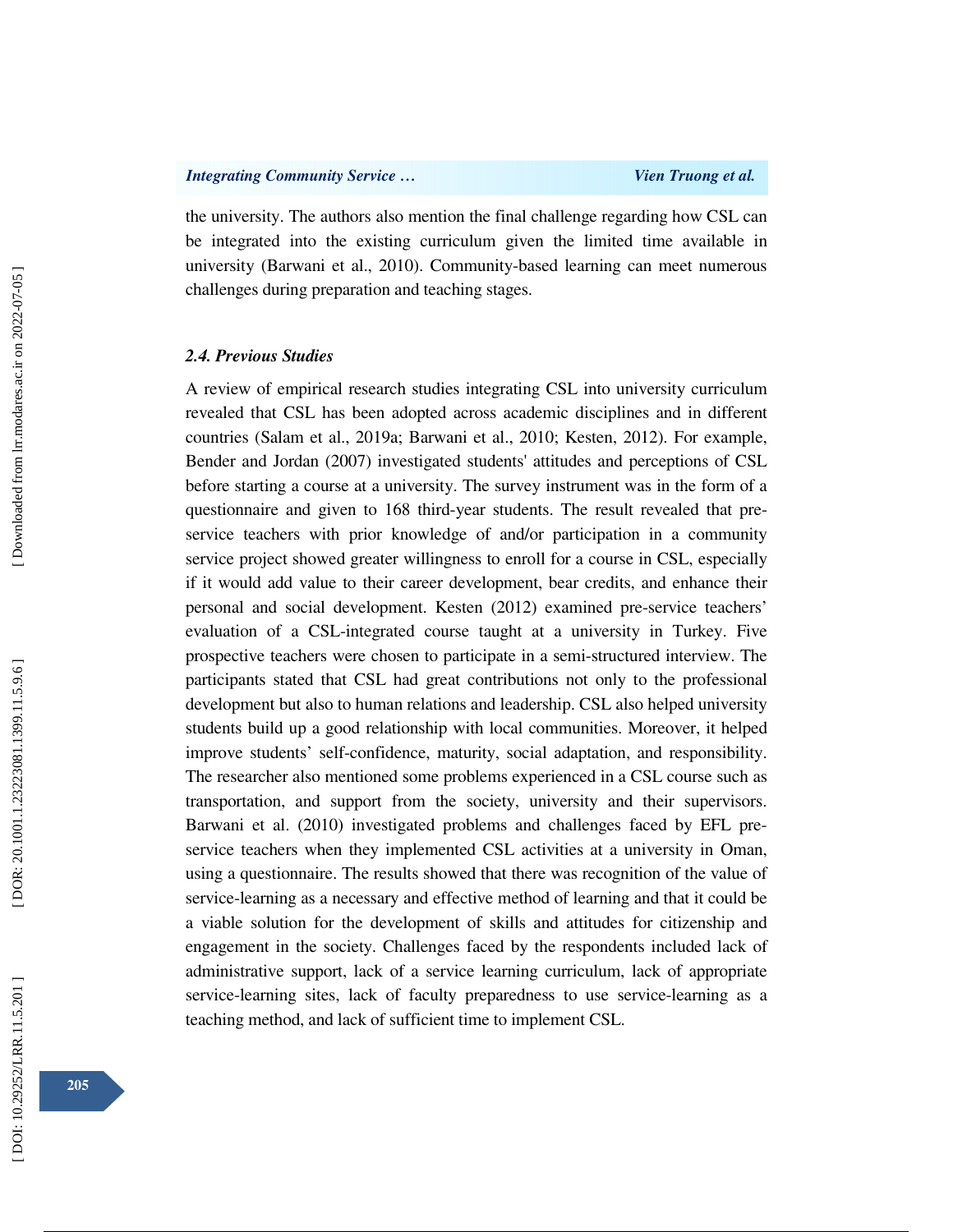the university. The authors also mention the final challenge regarding how CSL can be integrated into the existing curriculum given the limited time available in university (Barwani et al., 2010). Community-based learning can meet numerous challenges during preparation and teaching stages.

### *2.4. Previous Studies*

A review of empirical research studies integrating CSL into university curriculum revealed that CSL has been adopted across academic disciplines and in different countries (Salam et al., 2019a; Barwani et al., 2010; Kesten, 2012). For example, Bender and Jordan (2007) investigated students' attitudes and perceptions of CSL before starting a course at a university. The survey instrument was in the form of a questionnaire and given to 168 third-year students. The result revealed that preservice teachers with prior knowledge of and/or participation in a community service project showed greater willingness to enroll for a course in CSL, especially if it would add value to their career development, bear credits, and enhance their personal and social development. Kesten (2012) examined pre-service teachers' evaluation of a CSL-integrated course taught at a university in Turkey. Five prospective teachers were chosen to participate in a semi-structured interview. The participants stated that CSL had great contributions not only to the professional development but also to human relations and leadership. CSL also helped university students build up a good relationship with local communities. Moreover, it helped improve students' self-confidence, maturity, social adaptation, and responsibility. The researcher also mentioned some problems experienced in a CSL course such as transportation, and support from the society, university and their supervisors. Barwani et al. (2010) investigated problems and challenges faced by EFL preservice teachers when they implemented CSL activities at a university in Oman, using a questionnaire. The results showed that there was recognition of the value of service-learning as a necessary and effective method of learning and that it could be a viable solution for the development of skills and attitudes for citizenship and engagement in the society. Challenges faced by the respondents included lack of administrative support, lack of a service learning curriculum, lack of appropriate service-learning sites, lack of faculty preparedness to use service-learning as a teaching method, and lack of sufficient time to implement CSL.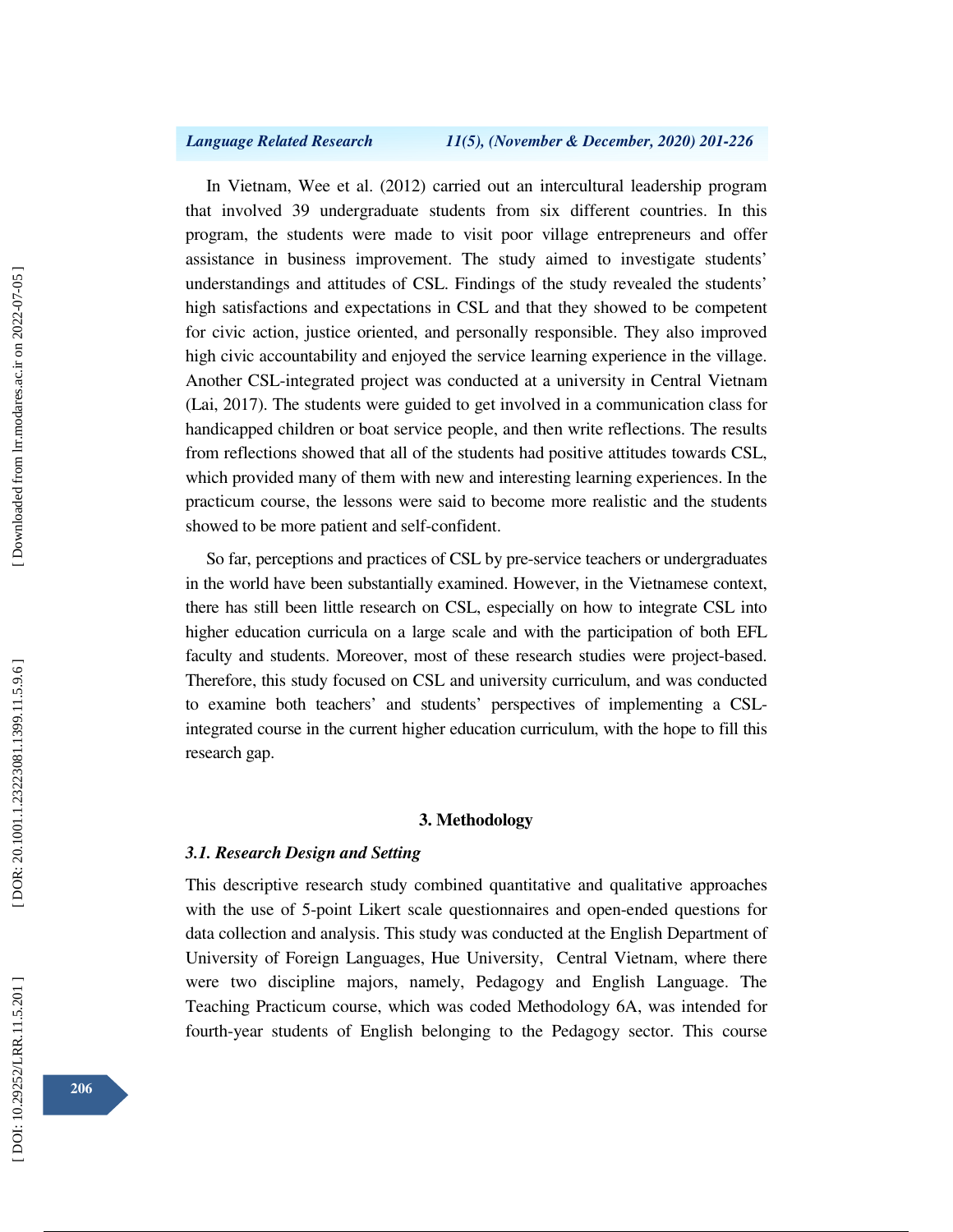In Vietnam, Wee et al. (2012) carried out an intercultural leadership program that involved 39 undergraduate students from six different countries. In this program, the students were made to visit poor village entrepreneurs and offer assistance in business improvement. The study aimed to investigate students' understandings and attitudes of CSL. Findings of the study revealed the students' high satisfactions and expectations in CSL and that they showed to be competent for civic action, justice oriented, and personally responsible. They also improved high civic accountability and enjoyed the service learning experience in the village. Another CSL-integrated project was conducted at a university in Central Vietnam (Lai, 2017). The students were guided to get involved in a communication class for handicapped children or boat service people, and then write reflections. The results from reflections showed that all of the students had positive attitudes towards CSL, which provided many of them with new and interesting learning experiences. In the practicum course, the lessons were said to become more realistic and the students showed to be more patient and self-confident.

So far, perceptions and practices of CSL by pre-service teachers or undergraduates in the world have been substantially examined. However, in the Vietnamese context, there has still been little research on CSL, especially on how to integrate CSL into higher education curricula on a large scale and with the participation of both EFL faculty and students. Moreover, most of these research studies were project-based. Therefore, this study focused on CSL and university curriculum, and was conducted to examine both teachers' and students' perspectives of implementing a CSLintegrated course in the current higher education curriculum, with the hope to fill this research gap.

### **3. Methodology**

### *3.1. Research Design and Setting*

This descriptive research study combined quantitative and qualitative approaches with the use of 5-point Likert scale questionnaires and open-ended questions for data collection and analysis. This study was conducted at the English Department of University of Foreign Languages, Hue University, Central Vietnam, where there were two discipline majors, namely, Pedagogy and English Language. The Teaching Practicum course, which was coded Methodology 6A, was intended for fourth-year students of English belonging to the Pedagogy sector. This course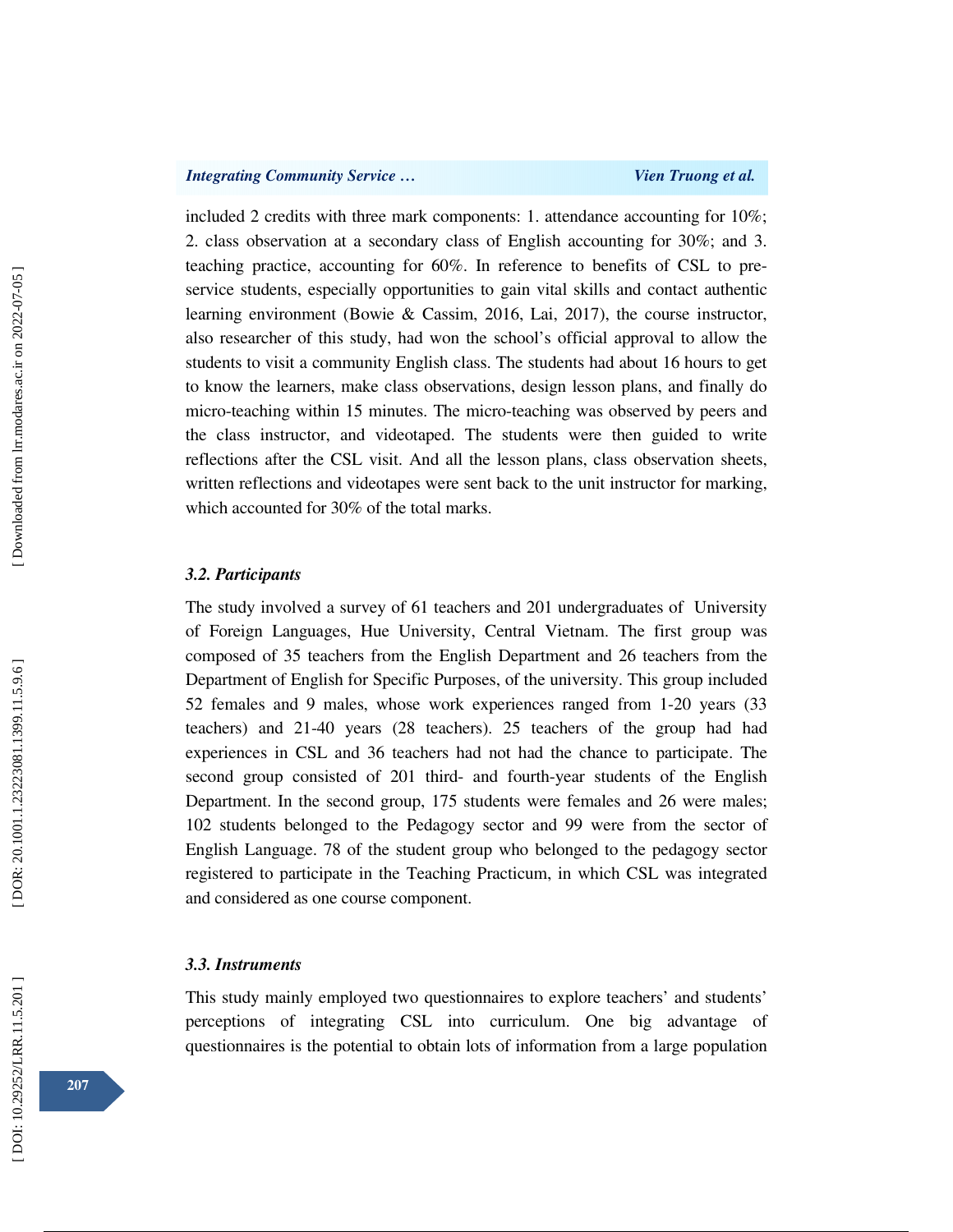included 2 credits with three mark components: 1. attendance accounting for 10%; 2. class observation at a secondary class of English accounting for 30%; and 3. teaching practice, accounting for 60%. In reference to benefits of CSL to preservice students, especially opportunities to gain vital skills and contact authentic learning environment (Bowie & Cassim, 2016, Lai, 2017), the course instructor, also researcher of this study, had won the school's official approval to allow the students to visit a community English class. The students had about 16 hours to get to know the learners, make class observations, design lesson plans, and finally do micro-teaching within 15 minutes. The micro-teaching was observed by peers and the class instructor, and videotaped. The students were then guided to write reflections after the CSL visit. And all the lesson plans, class observation sheets, written reflections and videotapes were sent back to the unit instructor for marking, which accounted for 30% of the total marks.

### *3.2. Participants*

The study involved a survey of 61 teachers and 201 undergraduates of University of Foreign Languages, Hue University, Central Vietnam. The first group was composed of 35 teachers from the English Department and 26 teachers from the Department of English for Specific Purposes, of the university. This group included 52 females and 9 males, whose work experiences ranged from 1-20 years (33 teachers) and 21-40 years (28 teachers). 25 teachers of the group had had experiences in CSL and 36 teachers had not had the chance to participate. The second group consisted of 201 third- and fourth-year students of the English Department. In the second group, 175 students were females and 26 were males; 102 students belonged to the Pedagogy sector and 99 were from the sector of English Language. 78 of the student group who belonged to the pedagogy sector registered to participate in the Teaching Practicum, in which CSL was integrated and considered as one course component.

### *3.3. Instruments*

This study mainly employed two questionnaires to explore teachers' and students' perceptions of integrating CSL into curriculum. One big advantage of questionnaires is the potential to obtain lots of information from a large population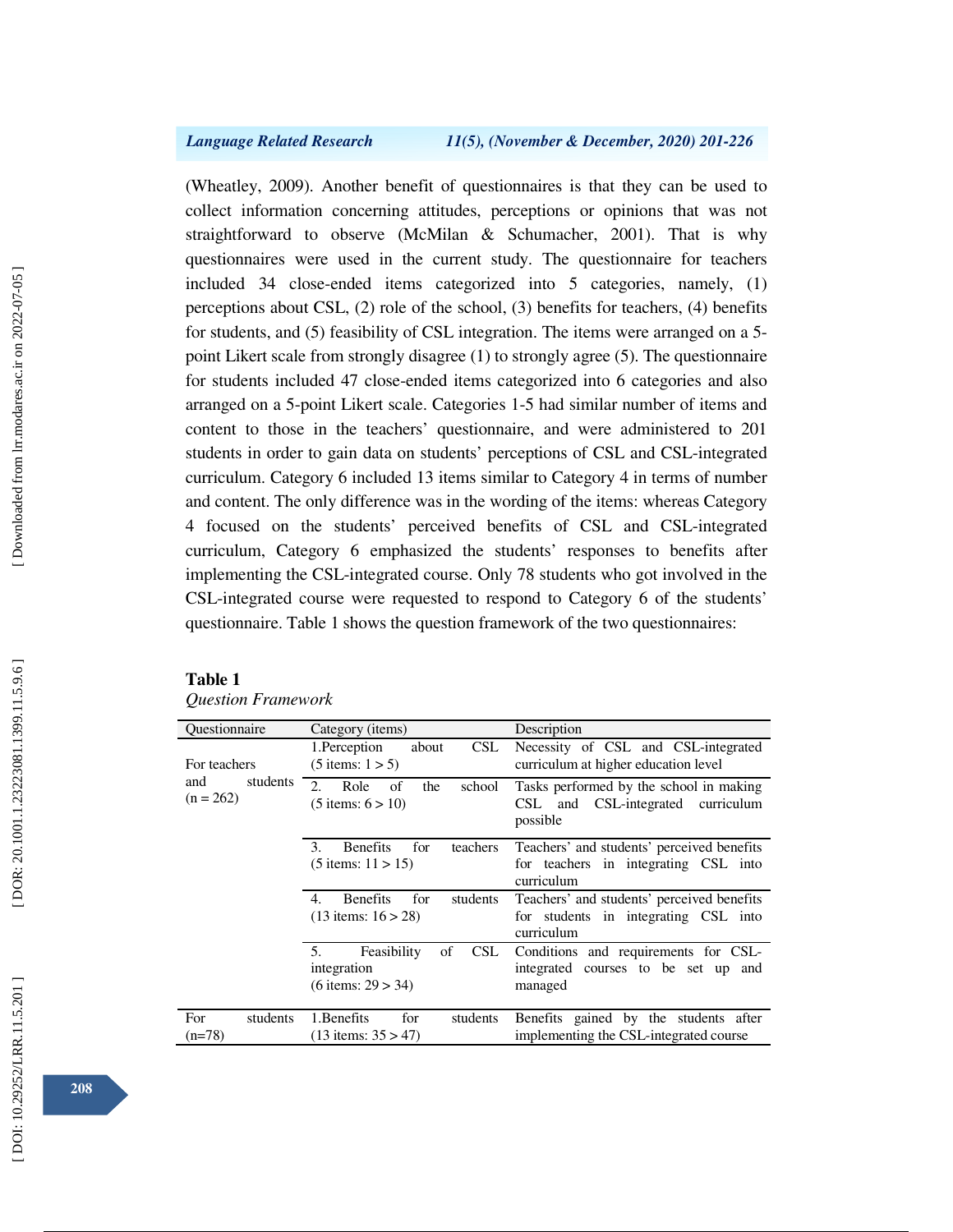(Wheatley, 2009). Another benefit of questionnaires is that they can be used to collect information concerning attitudes, perceptions or opinions that was not straightforward to observe (McMilan & Schumacher, 2001). That is why questionnaires were used in the current study. The questionnaire for teachers included 34 close-ended items categorized into 5 categories, namely, (1) perceptions about CSL, (2) role of the school, (3) benefits for teachers, (4) benefits for students, and (5) feasibility of CSL integration. The items were arranged on a 5 point Likert scale from strongly disagree (1) to strongly agree (5). The questionnaire for students included 47 close-ended items categorized into 6 categories and also arranged on a 5-point Likert scale. Categories 1-5 had similar number of items and content to those in the teachers' questionnaire, and were administered to 201 students in order to gain data on students' perceptions of CSL and CSL-integrated curriculum. Category 6 included 13 items similar to Category 4 in terms of number and content. The only difference was in the wording of the items: whereas Category 4 focused on the students' perceived benefits of CSL and CSL-integrated curriculum, Category 6 emphasized the students' responses to benefits after implementing the CSL-integrated course. Only 78 students who got involved in the CSL-integrated course were requested to respond to Category 6 of the students' questionnaire. Table 1 shows the question framework of the two questionnaires:

### **Table 1**

| Questionnaire   | Category ( <i>items</i> )                | Description                                |
|-----------------|------------------------------------------|--------------------------------------------|
|                 | 1. Perception<br>CSL.<br>about           | Necessity of CSL and CSL-integrated        |
| For teachers    | $(5 \text{ items}: 1 > 5)$               | curriculum at higher education level       |
| students<br>and | $2^{1}$<br>Role<br>school<br>of<br>the   | Tasks performed by the school in making    |
| $(n = 262)$     | $(5 \text{ items: } 6 > 10)$             | CSL-integrated<br>CSL<br>curriculum<br>and |
|                 |                                          | possible                                   |
|                 | 3.<br><b>Benefits</b><br>for<br>teachers | Teachers' and students' perceived benefits |
|                 | $(5$ items: $11 > 15$ )                  | for teachers in integrating CSL into       |
|                 |                                          | curriculum                                 |
|                 | <b>Benefits</b><br>for<br>students<br>4. | Teachers' and students' perceived benefits |
|                 | $(13$ items: $16 > 28$ )                 | for students in integrating CSL into       |
|                 |                                          | curriculum                                 |
|                 | 5.<br>Feasibility<br>CSL.<br>οf          | Conditions and requirements for CSL-       |
|                 | integration                              | integrated courses to be set up and        |
|                 | $(6$ items: $29 > 34)$                   | managed                                    |
|                 |                                          |                                            |
| For<br>students | 1. Benefits<br>students<br>for           | Benefits gained by the students after      |
| $(n=78)$        | $(13$ items: $35 > 47$ )                 | implementing the CSL-integrated course     |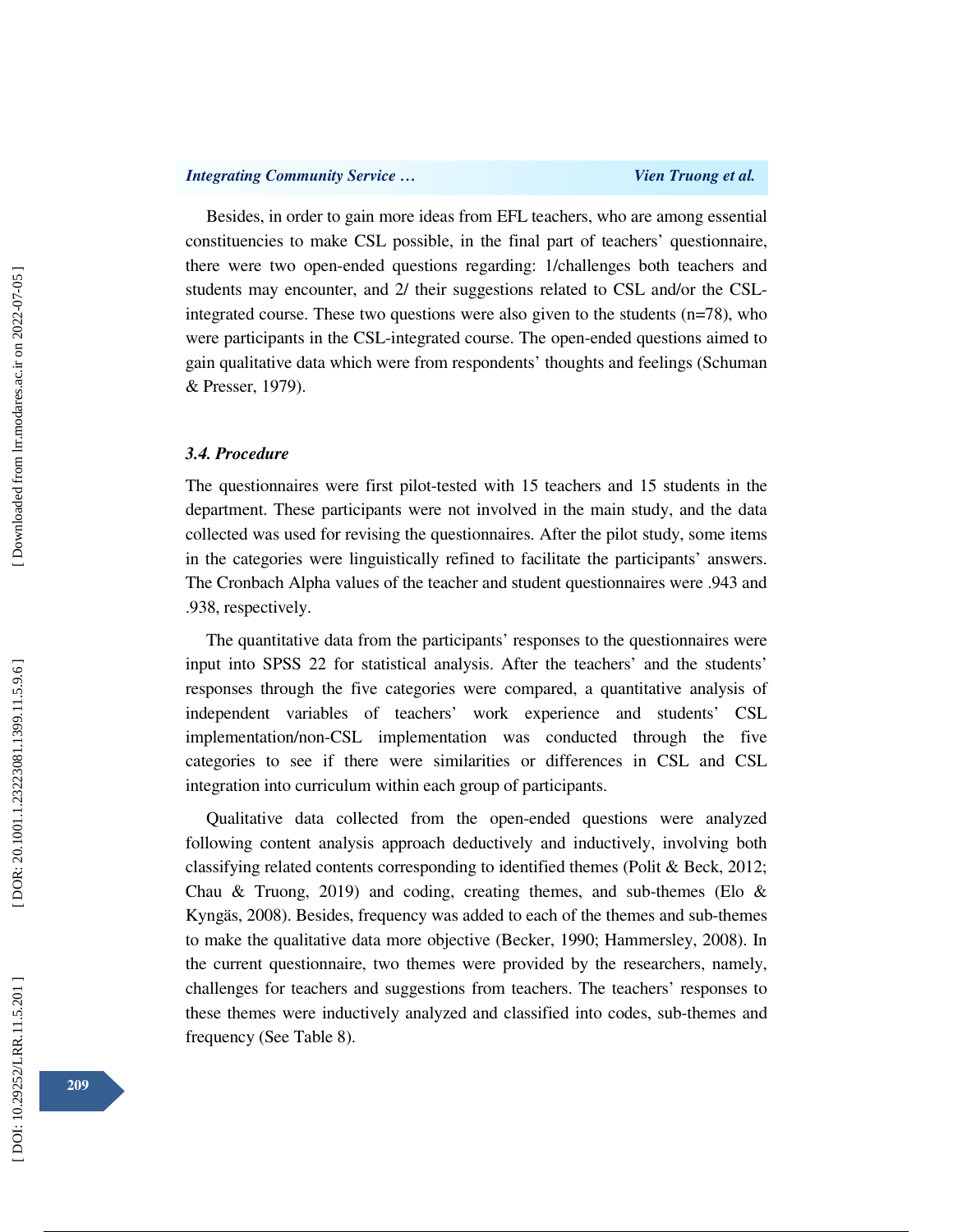Besides, in order to gain more ideas from EFL teachers, who are among essential constituencies to make CSL possible, in the final part of teachers' questionnaire, there were two open-ended questions regarding: 1/challenges both teachers and students may encounter, and 2/ their suggestions related to CSL and/or the CSLintegrated course. These two questions were also given to the students (n=78), who were participants in the CSL-integrated course. The open-ended questions aimed to gain qualitative data which were from respondents' thoughts and feelings (Schuman & Presser, 1979).

## *3.4. Procedure*

The questionnaires were first pilot-tested with 15 teachers and 15 students in the department. These participants were not involved in the main study, and the data collected was used for revising the questionnaires. After the pilot study, some items in the categories were linguistically refined to facilitate the participants' answers. The Cronbach Alpha values of the teacher and student questionnaires were .943 and .938, respectively.

The quantitative data from the participants' responses to the questionnaires were input into SPSS 22 for statistical analysis. After the teachers' and the students' responses through the five categories were compared, a quantitative analysis of independent variables of teachers' work experience and students' CSL implementation/non-CSL implementation was conducted through the five categories to see if there were similarities or differences in CSL and CSL integration into curriculum within each group of participants.

Qualitative data collected from the open-ended questions were analyzed following content analysis approach deductively and inductively, involving both classifying related contents corresponding to identified themes (Polit & Beck, 2012; Chau & Truong, 2019) and coding, creating themes, and sub-themes (Elo  $\&$ Kyngäs, 2008). Besides, frequency was added to each of the themes and sub-themes to make the qualitative data more objective (Becker, 1990; Hammersley, 2008). In the current questionnaire, two themes were provided by the researchers, namely, challenges for teachers and suggestions from teachers. The teachers' responses to these themes were inductively analyzed and classified into codes, sub-themes and frequency (See Table 8).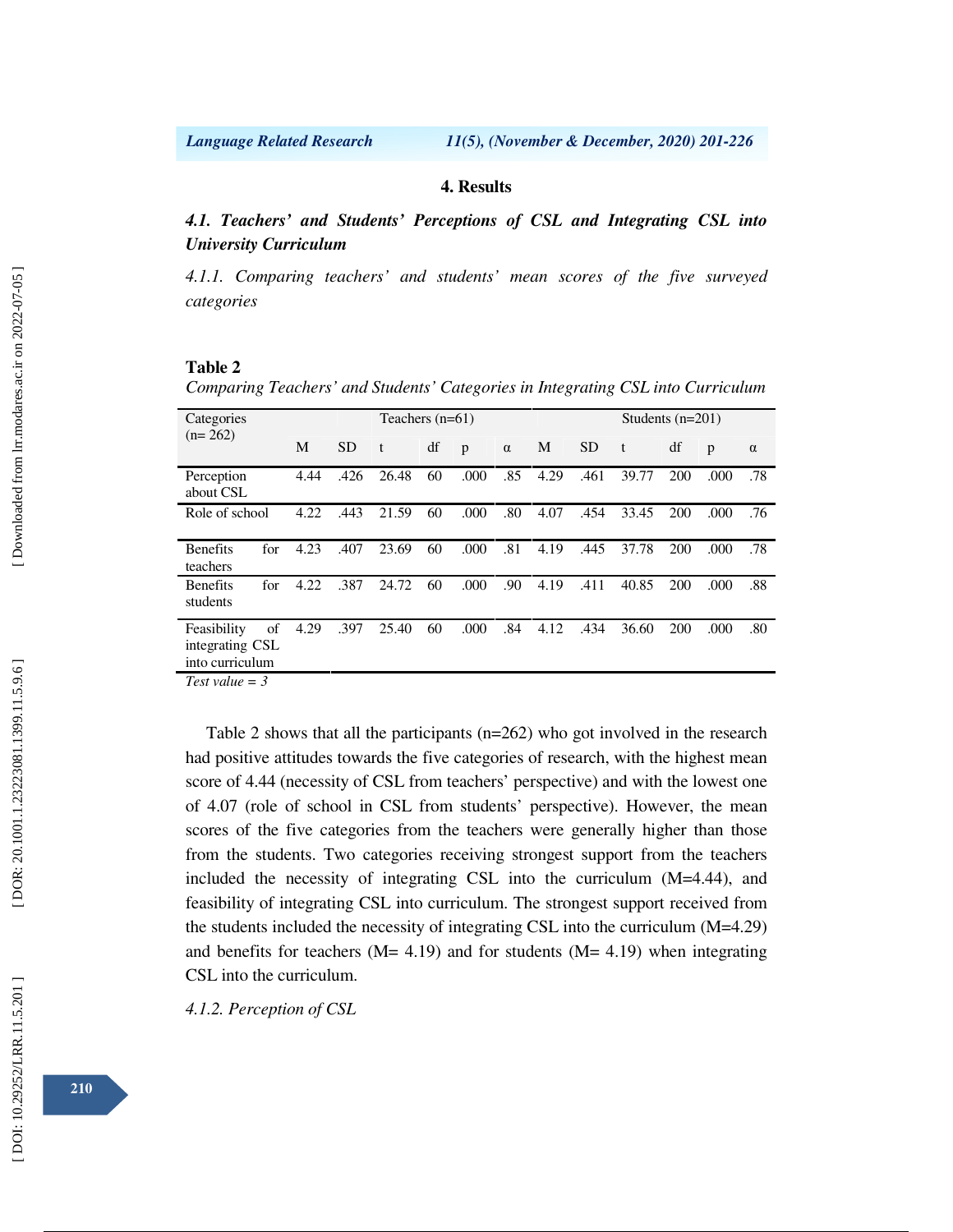### **4. Results**

*4.1. Teachers' and Students' Perceptions of CSL and Integrating CSL into University Curriculum* 

*4.1.1. Comparing teachers' and students' mean scores of the five surveyed categories* 

## **Table 2**

*Comparing Teachers' and Students' Categories in Integrating CSL into Curriculum* 

| Categories                                        |     |      | Teachers $(n=61)$ |       |    |      |          |      | Students $(n=201)$ |       |     |      |          |
|---------------------------------------------------|-----|------|-------------------|-------|----|------|----------|------|--------------------|-------|-----|------|----------|
| $(n=262)$                                         |     | M    | <b>SD</b>         | t     | df | p    | $\alpha$ | M    | <b>SD</b>          | t     | df  | p    | $\alpha$ |
| Perception<br>about CSL                           |     | 4.44 | .426              | 26.48 | 60 | .000 | .85      | 4.29 | .461               | 39.77 | 200 | .000 | .78      |
| Role of school                                    |     | 4.22 | .443              | 21.59 | 60 | .000 | .80      | 4.07 | .454               | 33.45 | 200 | .000 | .76      |
| <b>Benefits</b><br>teachers                       | for | 4.23 | .407              | 23.69 | 60 | .000 | .81      | 4.19 | .445               | 37.78 | 200 | .000 | .78      |
| <b>Benefits</b><br>students                       | for | 4.22 | .387              | 24.72 | 60 | .000 | .90      | 4.19 | .411               | 40.85 | 200 | .000 | .88      |
| Feasibility<br>integrating CSL<br>into curriculum | of  | 4.29 | .397              | 25.40 | 60 | .000 | .84      | 4.12 | .434               | 36.60 | 200 | .000 | .80      |

*Test value = 3* 

Table 2 shows that all the participants (n=262) who got involved in the research had positive attitudes towards the five categories of research, with the highest mean score of 4.44 (necessity of CSL from teachers' perspective) and with the lowest one of 4.07 (role of school in CSL from students' perspective). However, the mean scores of the five categories from the teachers were generally higher than those from the students. Two categories receiving strongest support from the teachers included the necessity of integrating CSL into the curriculum (M=4.44), and feasibility of integrating CSL into curriculum. The strongest support received from the students included the necessity of integrating CSL into the curriculum (M=4.29) and benefits for teachers  $(M= 4.19)$  and for students  $(M= 4.19)$  when integrating CSL into the curriculum.

*4.1.2. Perception of CSL*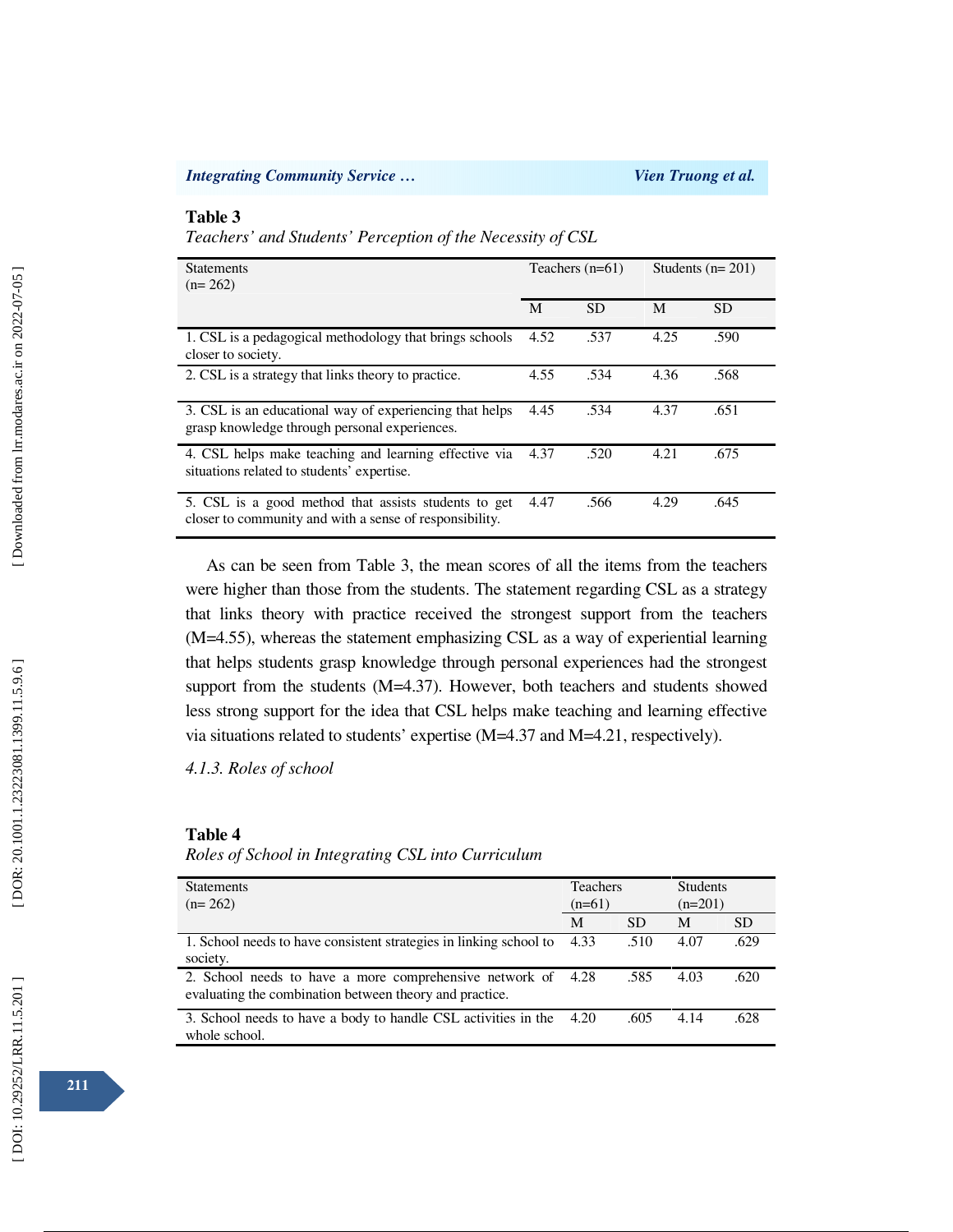## **Table 3**

*Teachers' and Students' Perception of the Necessity of CSL* 

| <b>Statements</b><br>$(n=262)$                                                                                  |      | Teachers $(n=61)$ |      | Students $(n=201)$ |  |
|-----------------------------------------------------------------------------------------------------------------|------|-------------------|------|--------------------|--|
|                                                                                                                 | M    | <b>SD</b>         | M    | <b>SD</b>          |  |
| 1. CSL is a pedagogical methodology that brings schools<br>closer to society.                                   | 4.52 | .537              | 4.25 | .590               |  |
| 2. CSL is a strategy that links theory to practice.                                                             | 4.55 | .534              | 4.36 | .568               |  |
| 3. CSL is an educational way of experiencing that helps<br>grasp knowledge through personal experiences.        | 4.45 | .534              | 4.37 | .651               |  |
| 4. CSL helps make teaching and learning effective via<br>situations related to students' expertise.             | 4.37 | .520              | 4.21 | .675               |  |
| 5. CSL is a good method that assists students to get<br>closer to community and with a sense of responsibility. | 4.47 | .566              | 4.29 | .645               |  |

As can be seen from Table 3, the mean scores of all the items from the teachers were higher than those from the students. The statement regarding CSL as a strategy that links theory with practice received the strongest support from the teachers (M=4.55), whereas the statement emphasizing CSL as a way of experiential learning that helps students grasp knowledge through personal experiences had the strongest support from the students (M=4.37). However, both teachers and students showed less strong support for the idea that CSL helps make teaching and learning effective via situations related to students' expertise (M=4.37 and M=4.21, respectively).

*4.1.3. Roles of school* 

### **Table 4**

### *Roles of School in Integrating CSL into Curriculum*

| <b>Statements</b><br>$(n=262)$                                                                                     | <b>Teachers</b><br>$(n=61)$ |           | <b>Students</b><br>$(n=201)$ |           |
|--------------------------------------------------------------------------------------------------------------------|-----------------------------|-----------|------------------------------|-----------|
|                                                                                                                    | M                           | <b>SD</b> | M                            | <b>SD</b> |
| 1. School needs to have consistent strategies in linking school to<br>society.                                     | 4.33                        | .510      | 4.07                         | .629      |
| 2. School needs to have a more comprehensive network of<br>evaluating the combination between theory and practice. | 4.28                        | .585      | 4.03                         | .620      |
| 3. School needs to have a body to handle CSL activities in the<br>whole school.                                    | 4.20                        | .605      | 4.14                         | .628      |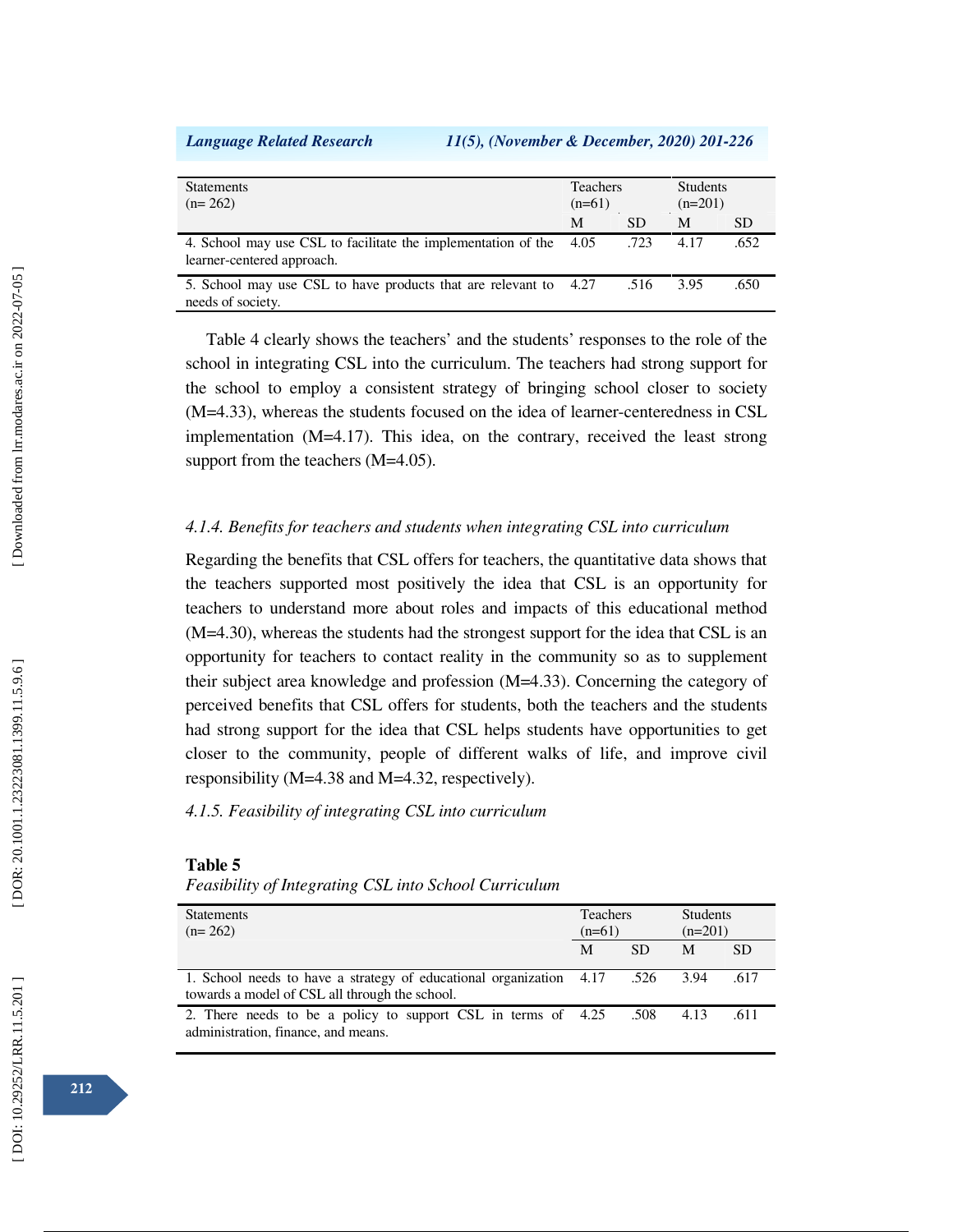*Language Related Research 11(5), (November & December, 2020) 201-226*

| <b>Statements</b><br>$(n=262)$                                                                   | <b>Teachers</b><br>$(n=61)$ |           | <b>Students</b><br>$(n=201)$ |           |
|--------------------------------------------------------------------------------------------------|-----------------------------|-----------|------------------------------|-----------|
|                                                                                                  | M                           | <b>SD</b> | M                            | <b>SD</b> |
| 4. School may use CSL to facilitate the implementation of the 4.05<br>learner-centered approach. |                             | .723      | 4.17                         | .652      |
| 5. School may use CSL to have products that are relevant to 4.27<br>needs of society.            |                             | .516      | 3.95                         | .650      |

Table 4 clearly shows the teachers' and the students' responses to the role of the school in integrating CSL into the curriculum. The teachers had strong support for the school to employ a consistent strategy of bringing school closer to society (M=4.33), whereas the students focused on the idea of learner-centeredness in CSL implementation (M=4.17). This idea, on the contrary, received the least strong support from the teachers (M=4.05).

### *4.1.4. Benefits for teachers and students when integrating CSL into curriculum*

Regarding the benefits that CSL offers for teachers, the quantitative data shows that the teachers supported most positively the idea that CSL is an opportunity for teachers to understand more about roles and impacts of this educational method (M=4.30), whereas the students had the strongest support for the idea that CSL is an opportunity for teachers to contact reality in the community so as to supplement their subject area knowledge and profession (M=4.33). Concerning the category of perceived benefits that CSL offers for students, both the teachers and the students had strong support for the idea that CSL helps students have opportunities to get closer to the community, people of different walks of life, and improve civil responsibility (M=4.38 and M=4.32, respectively).

## *4.1.5. Feasibility of integrating CSL into curriculum*

### **Table 5**

*Feasibility of Integrating CSL into School Curriculum* 

| <b>Statements</b><br>$(n=262)$                                                                                        | <b>Teachers</b><br>$(n=61)$ |           | <b>Students</b><br>$(n=201)$ |           |
|-----------------------------------------------------------------------------------------------------------------------|-----------------------------|-----------|------------------------------|-----------|
|                                                                                                                       | M                           | <b>SD</b> | M                            | <b>SD</b> |
| 1. School needs to have a strategy of educational organization 4.17<br>towards a model of CSL all through the school. |                             | .526      | 3.94                         | .617      |
| 2. There needs to be a policy to support CSL in terms of 4.25<br>administration, finance, and means.                  |                             | .508      | 4.13                         | .611      |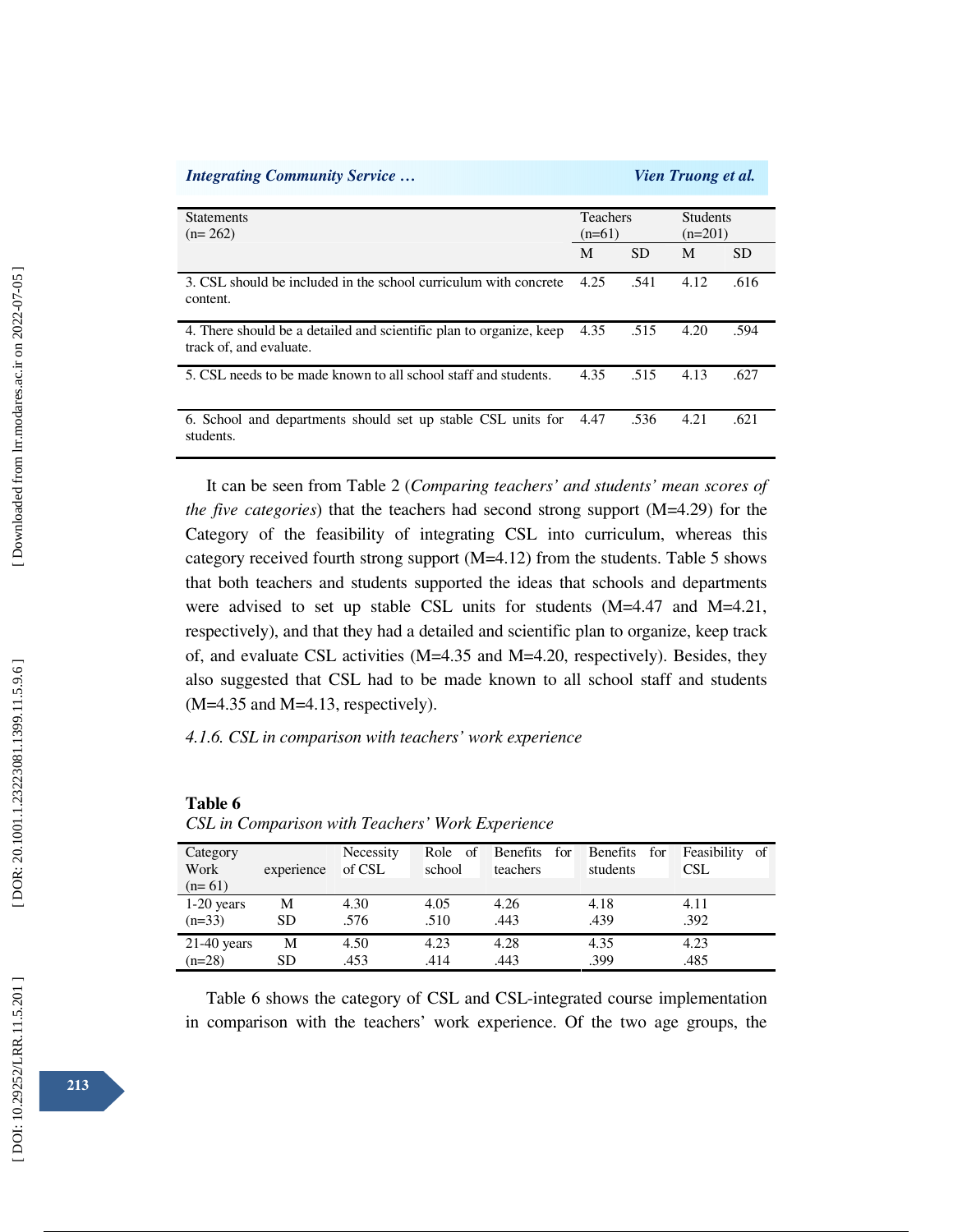| <b>Integrating Community Service</b>                                                           | <i>Vien Truong et al.</i>   |           |                              |      |  |
|------------------------------------------------------------------------------------------------|-----------------------------|-----------|------------------------------|------|--|
| <b>Statements</b><br>$(n=262)$                                                                 | <b>Teachers</b><br>$(n=61)$ |           | <b>Students</b><br>$(n=201)$ |      |  |
|                                                                                                | M                           | <b>SD</b> | M                            | SD   |  |
| 3. CSL should be included in the school curriculum with concrete<br>content.                   | 4.25                        | .541      | 4.12                         | .616 |  |
| 4. There should be a detailed and scientific plan to organize, keep<br>track of, and evaluate. | 4.35                        | .515      | 4.20                         | .594 |  |
| 5. CSL needs to be made known to all school staff and students.                                | 4.35                        | .515      | 4.13                         | .627 |  |
| 6. School and departments should set up stable CSL units for<br>students.                      | 4.47                        | .536      | 4.21                         | .621 |  |

It can be seen from Table 2 (*Comparing teachers' and students' mean scores of the five categories*) that the teachers had second strong support (M=4.29) for the Category of the feasibility of integrating CSL into curriculum, whereas this category received fourth strong support (M=4.12) from the students. Table 5 shows that both teachers and students supported the ideas that schools and departments were advised to set up stable CSL units for students (M=4.47 and M=4.21, respectively), and that they had a detailed and scientific plan to organize, keep track of, and evaluate CSL activities (M=4.35 and M=4.20, respectively). Besides, they also suggested that CSL had to be made known to all school staff and students  $(M=4.35$  and  $M=4.13$ , respectively).

*4.1.6. CSL in comparison with teachers' work experience* 

**Table 6** 

*CSL in Comparison with Teachers' Work Experience* 

| Category<br>Work | experience | Necessity<br>of CSL | - of<br>Role<br>school | <b>Benefits</b><br>for<br>teachers | Benefits<br>for<br>students | Feasibility of<br><b>CSL</b> |
|------------------|------------|---------------------|------------------------|------------------------------------|-----------------------------|------------------------------|
| $(n=61)$         |            |                     |                        |                                    |                             |                              |
| $1-20$ years     | M          | 4.30                | 4.05                   | 4.26                               | 4.18                        | 4.11                         |
| $(n=33)$         | <b>SD</b>  | .576                | .510                   | .443                               | .439                        | .392                         |
| $21-40$ years    | М          | 4.50                | 4.23                   | 4.28                               | 4.35                        | 4.23                         |
| $(n=28)$         | SD         | .453                | .414                   | .443                               | .399                        | .485                         |

Table 6 shows the category of CSL and CSL-integrated course implementation in comparison with the teachers' work experience. Of the two age groups, the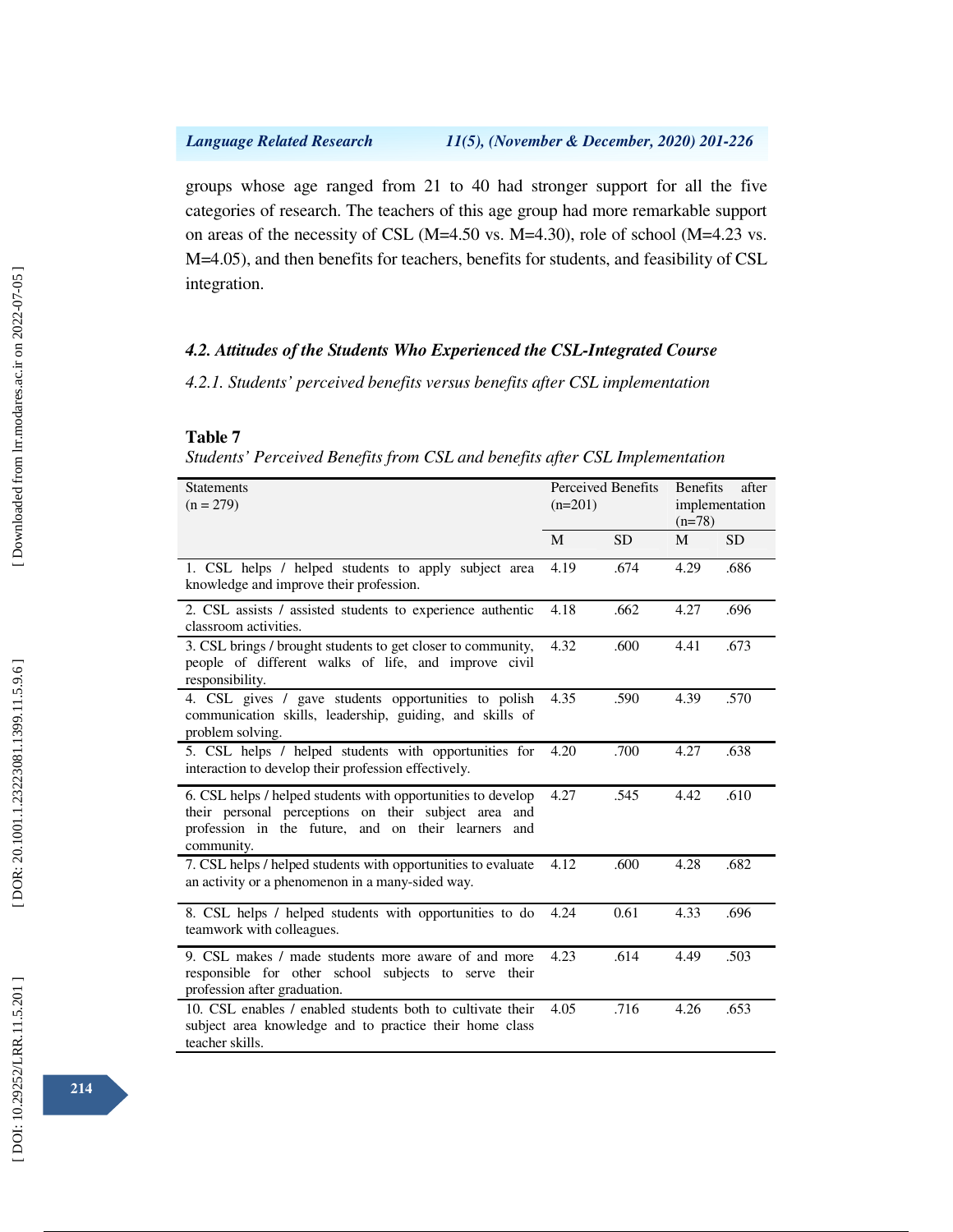groups whose age ranged from 21 to 40 had stronger support for all the five categories of research. The teachers of this age group had more remarkable support on areas of the necessity of CSL (M=4.50 vs. M=4.30), role of school (M=4.23 vs. M=4.05), and then benefits for teachers, benefits for students, and feasibility of CSL integration.

## *4.2. Attitudes of the Students Who Experienced the CSL-Integrated Course*

*4.2.1. Students' perceived benefits versus benefits after CSL implementation* 

### **Table 7**

*Students' Perceived Benefits from CSL and benefits after CSL Implementation* 

| <b>Statements</b><br>$(n = 279)$                                                                                                                                                          | Perceived Benefits<br>$(n=201)$ |           | <b>Benefits</b><br>after<br>implementation<br>$(n=78)$ |           |
|-------------------------------------------------------------------------------------------------------------------------------------------------------------------------------------------|---------------------------------|-----------|--------------------------------------------------------|-----------|
|                                                                                                                                                                                           | M                               | <b>SD</b> | M                                                      | <b>SD</b> |
| 1. CSL helps / helped students to apply subject area<br>knowledge and improve their profession.                                                                                           | 4.19                            | .674      | 4.29                                                   | .686      |
| 2. CSL assists / assisted students to experience authentic<br>classroom activities.                                                                                                       | 4.18                            | .662      | 4.27                                                   | .696      |
| 3. CSL brings / brought students to get closer to community,<br>people of different walks of life, and improve civil<br>responsibility.                                                   | 4.32                            | .600      | 4.41                                                   | .673      |
| 4. CSL gives / gave students opportunities to polish<br>communication skills, leadership, guiding, and skills of<br>problem solving.                                                      | 4.35                            | .590      | 4.39                                                   | .570      |
| 5. CSL helps / helped students with opportunities for<br>interaction to develop their profession effectively.                                                                             | 4.20                            | .700      | 4.27                                                   | .638      |
| 6. CSL helps / helped students with opportunities to develop<br>their personal perceptions on their subject area and<br>profession in the future, and on their learners and<br>community. | 4.27                            | .545      | 4.42                                                   | .610      |
| 7. CSL helps / helped students with opportunities to evaluate<br>an activity or a phenomenon in a many-sided way.                                                                         | 4.12                            | .600      | 4.28                                                   | .682      |
| 8. CSL helps / helped students with opportunities to do<br>teamwork with colleagues.                                                                                                      | 4.24                            | 0.61      | 4.33                                                   | .696      |
| 9. CSL makes / made students more aware of and more<br>responsible for other school subjects to serve their<br>profession after graduation.                                               | 4.23                            | .614      | 4.49                                                   | .503      |
| 10. CSL enables / enabled students both to cultivate their<br>subject area knowledge and to practice their home class<br>teacher skills.                                                  | 4.05                            | .716      | 4.26                                                   | .653      |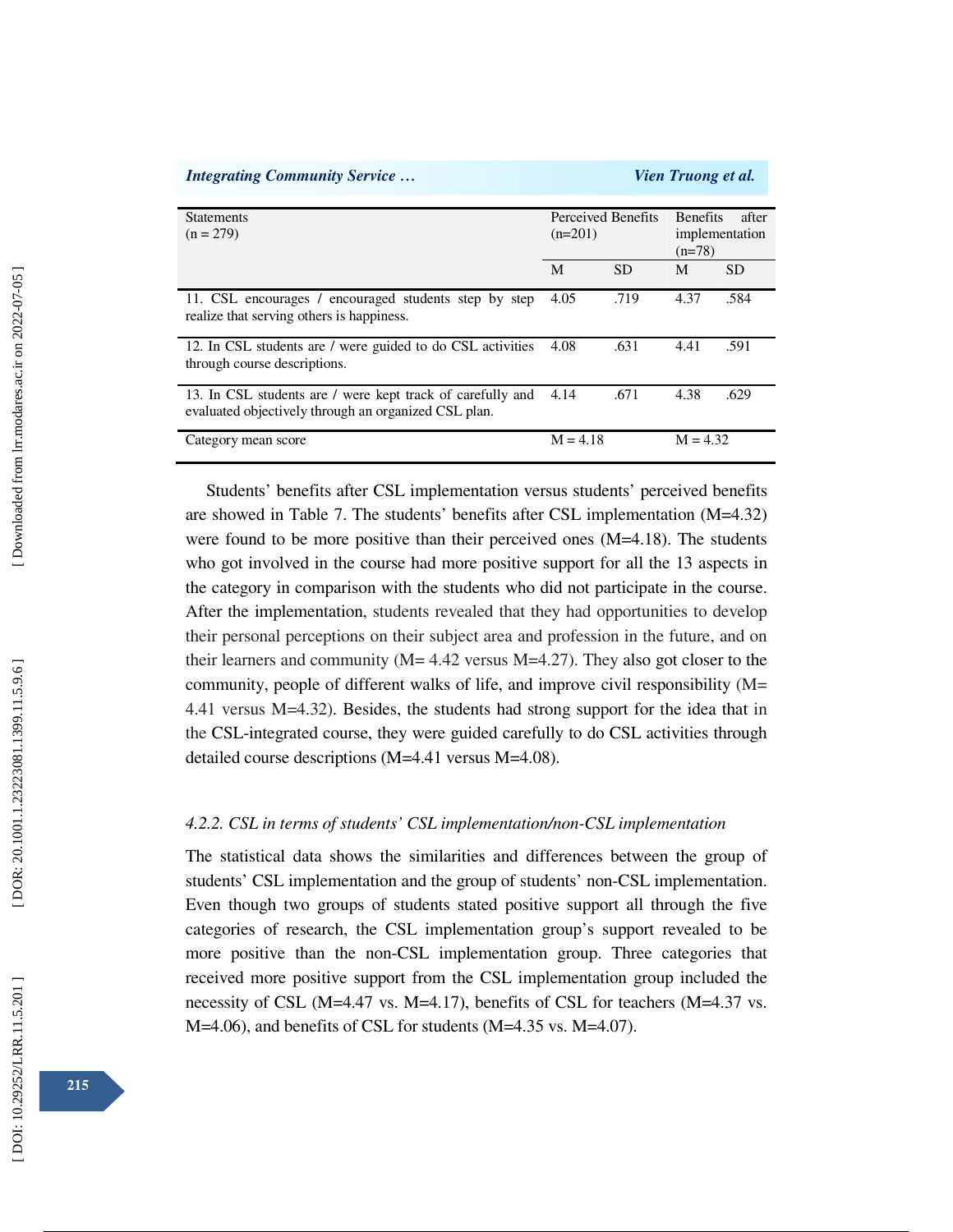| <b>Integrating Community Service</b>                                                                               |            |                    | <i>Vien Truong et al.</i>                              |           |
|--------------------------------------------------------------------------------------------------------------------|------------|--------------------|--------------------------------------------------------|-----------|
| <b>Statements</b><br>$(n = 279)$                                                                                   | $(n=201)$  | Perceived Benefits | <b>Benefits</b><br>after<br>implementation<br>$(n=78)$ |           |
|                                                                                                                    | M          | <b>SD</b>          | M                                                      | <b>SD</b> |
| 11. CSL encourages / encouraged students step by step<br>realize that serving others is happiness.                 | 4.05       | .719               | 4.37                                                   | .584      |
| 12. In CSL students are / were guided to do CSL activities<br>through course descriptions.                         | 4.08       | .631               | 4.41                                                   | .591      |
| 13. In CSL students are / were kept track of carefully and<br>evaluated objectively through an organized CSL plan. | 4.14       | .671               | 4.38                                                   | .629      |
| Category mean score                                                                                                | $M = 4.18$ |                    | $M = 4.32$                                             |           |

Students' benefits after CSL implementation versus students' perceived benefits are showed in Table 7. The students' benefits after CSL implementation (M=4.32) were found to be more positive than their perceived ones (M=4.18). The students who got involved in the course had more positive support for all the 13 aspects in the category in comparison with the students who did not participate in the course. After the implementation, students revealed that they had opportunities to develop their personal perceptions on their subject area and profession in the future, and on their learners and community ( $M = 4.42$  versus  $M = 4.27$ ). They also got closer to the community, people of different walks of life, and improve civil responsibility (M= 4.41 versus M=4.32). Besides, the students had strong support for the idea that in the CSL-integrated course, they were guided carefully to do CSL activities through detailed course descriptions (M=4.41 versus M=4.08).

## *4.2.2. CSL in terms of students' CSL implementation/non-CSL implementation*

The statistical data shows the similarities and differences between the group of students' CSL implementation and the group of students' non-CSL implementation. Even though two groups of students stated positive support all through the five categories of research, the CSL implementation group's support revealed to be more positive than the non-CSL implementation group. Three categories that received more positive support from the CSL implementation group included the necessity of CSL (M=4.47 vs. M=4.17), benefits of CSL for teachers (M=4.37 vs. M=4.06), and benefits of CSL for students (M=4.35 vs. M=4.07).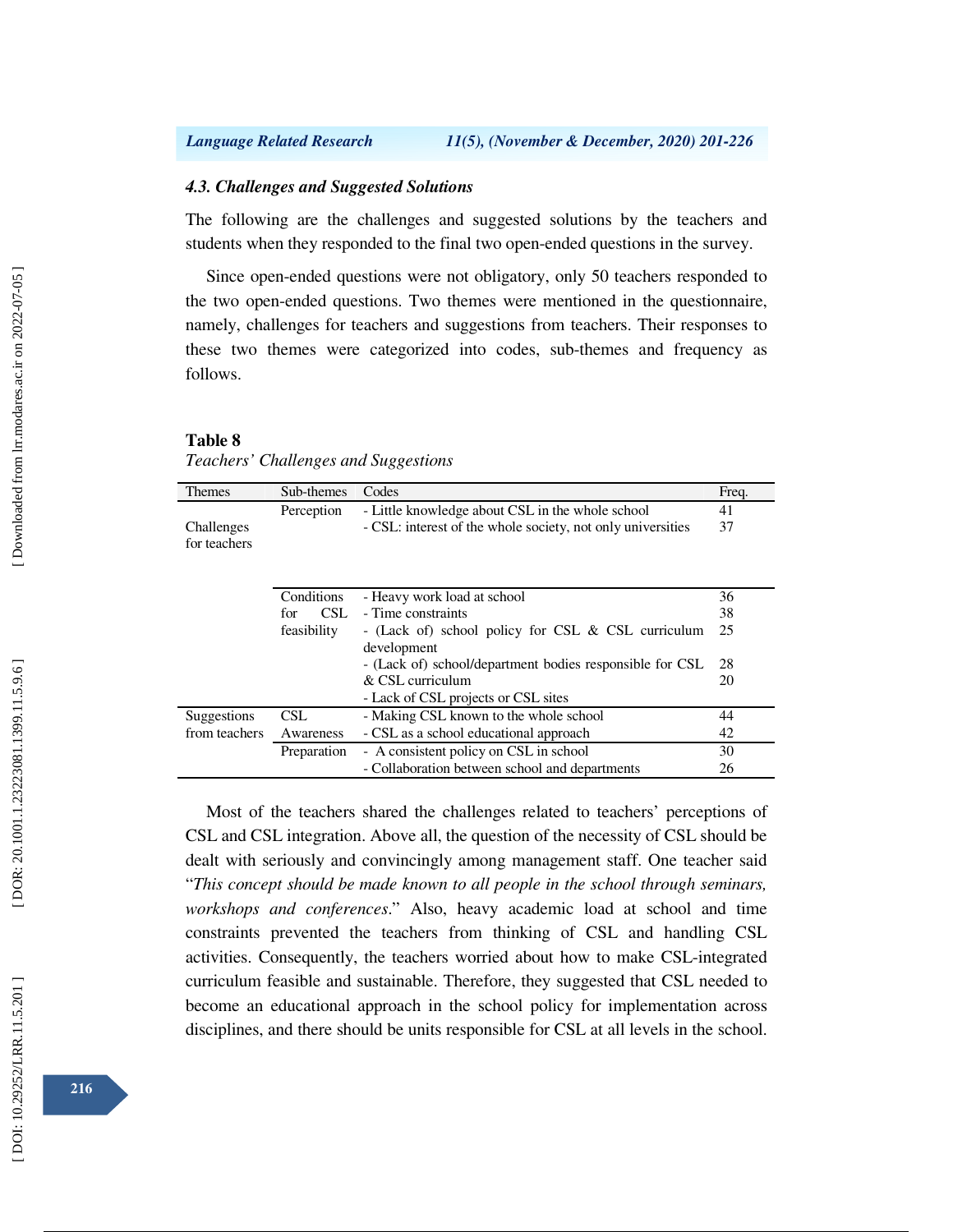### *4.3. Challenges and Suggested Solutions*

The following are the challenges and suggested solutions by the teachers and students when they responded to the final two open-ended questions in the survey.

Since open-ended questions were not obligatory, only 50 teachers responded to the two open-ended questions. Two themes were mentioned in the questionnaire, namely, challenges for teachers and suggestions from teachers. Their responses to these two themes were categorized into codes, sub-themes and frequency as follows.

### **Table 8**

*Teachers' Challenges and Suggestions* 

| <b>Themes</b> | Sub-themes  | Codes                                                       | Freq. |
|---------------|-------------|-------------------------------------------------------------|-------|
|               | Perception  | - Little knowledge about CSL in the whole school            | 41    |
| Challenges    |             | - CSL: interest of the whole society, not only universities | 37    |
| for teachers  |             |                                                             |       |
|               |             |                                                             |       |
|               |             |                                                             |       |
|               | Conditions  | - Heavy work load at school                                 | 36    |
|               | CSL.<br>for | - Time constraints                                          | 38    |
|               | feasibility | - (Lack of) school policy for CSL & CSL curriculum          | 25    |
|               |             | development                                                 |       |
|               |             | - (Lack of) school/department bodies responsible for CSL    | 28    |
|               |             | $\&$ CSL curriculum                                         | 20    |
|               |             | - Lack of CSL projects or CSL sites                         |       |
| Suggestions   | CSL.        | - Making CSL known to the whole school                      | 44    |
| from teachers | Awareness   | - CSL as a school educational approach                      | 42    |
|               | Preparation | - A consistent policy on CSL in school                      | 30    |
|               |             | - Collaboration between school and departments              | 26    |

Most of the teachers shared the challenges related to teachers' perceptions of CSL and CSL integration. Above all, the question of the necessity of CSL should be dealt with seriously and convincingly among management staff. One teacher said "*This concept should be made known to all people in the school through seminars, workshops and conferences*." Also, heavy academic load at school and time constraints prevented the teachers from thinking of CSL and handling CSL activities. Consequently, the teachers worried about how to make CSL-integrated curriculum feasible and sustainable. Therefore, they suggested that CSL needed to become an educational approach in the school policy for implementation across disciplines, and there should be units responsible for CSL at all levels in the school.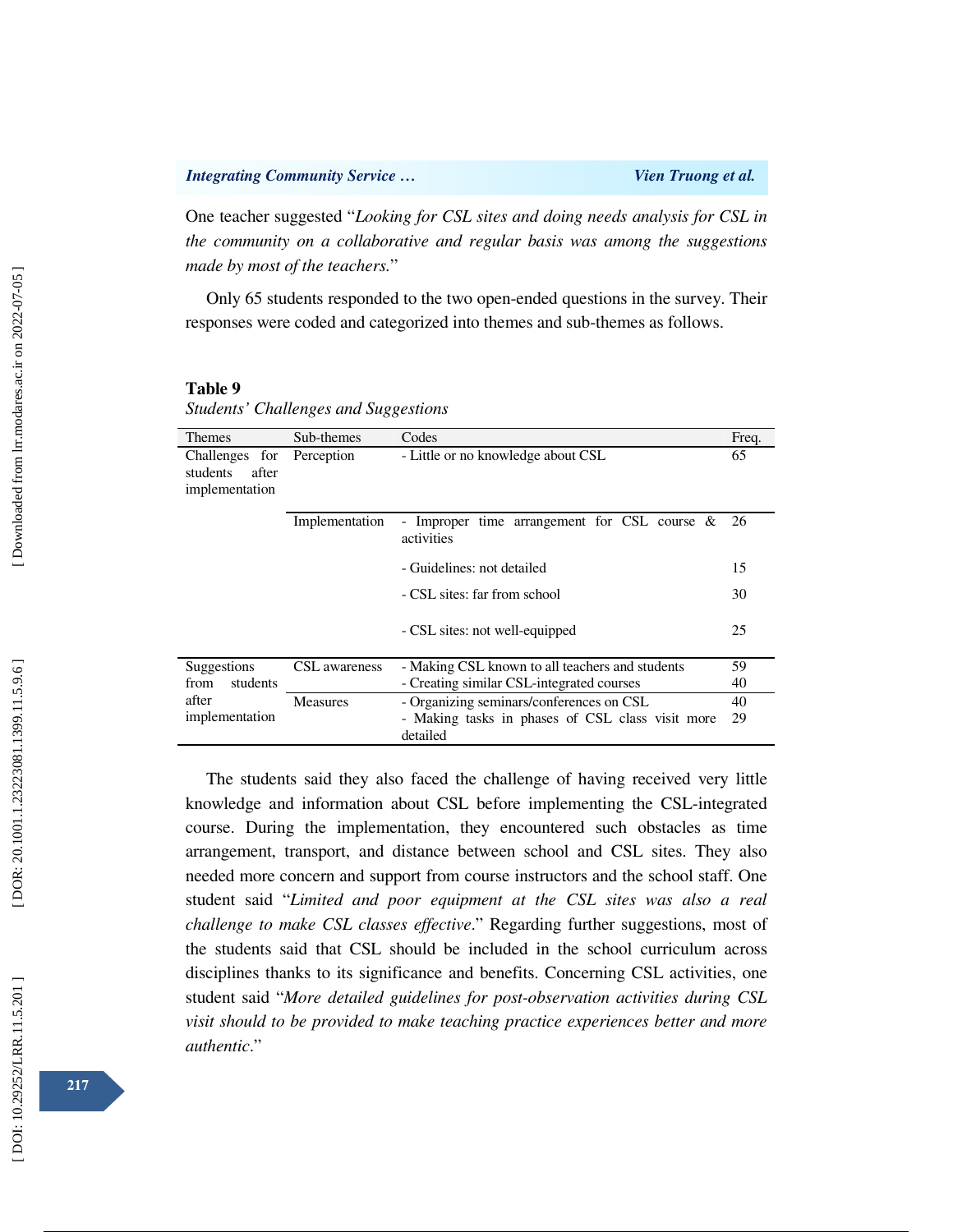One teacher suggested "*Looking for CSL sites and doing needs analysis for CSL in the community on a collaborative and regular basis was among the suggestions made by most of the teachers.*"

Only 65 students responded to the two open-ended questions in the survey. Their responses were coded and categorized into themes and sub-themes as follows.

### **Table 9**

*Students' Challenges and Suggestions* 

| <b>Themes</b>                                         | Sub-themes      | Codes                                                         | Freq. |
|-------------------------------------------------------|-----------------|---------------------------------------------------------------|-------|
| Challenges for<br>students<br>after<br>implementation | Perception      | - Little or no knowledge about CSL                            | 65    |
|                                                       | Implementation  | - Improper time arrangement for CSL course $\&$<br>activities | 26    |
|                                                       |                 | - Guidelines: not detailed                                    | 15    |
|                                                       |                 | - CSL sites: far from school                                  | 30    |
|                                                       |                 | - CSL sites: not well-equipped                                | 25    |
| Suggestions                                           | CSL awareness   | - Making CSL known to all teachers and students               | 59    |
| students<br>from                                      |                 | - Creating similar CSL-integrated courses                     | 40    |
| after                                                 | <b>Measures</b> | - Organizing seminars/conferences on CSL                      | 40    |
| implementation                                        |                 | - Making tasks in phases of CSL class visit more<br>detailed  | 29    |

The students said they also faced the challenge of having received very little knowledge and information about CSL before implementing the CSL-integrated course. During the implementation, they encountered such obstacles as time arrangement, transport, and distance between school and CSL sites. They also needed more concern and support from course instructors and the school staff. One student said "*Limited and poor equipment at the CSL sites was also a real challenge to make CSL classes effective*." Regarding further suggestions, most of the students said that CSL should be included in the school curriculum across disciplines thanks to its significance and benefits. Concerning CSL activities, one student said "*More detailed guidelines for post-observation activities during CSL visit should to be provided to make teaching practice experiences better and more authentic*."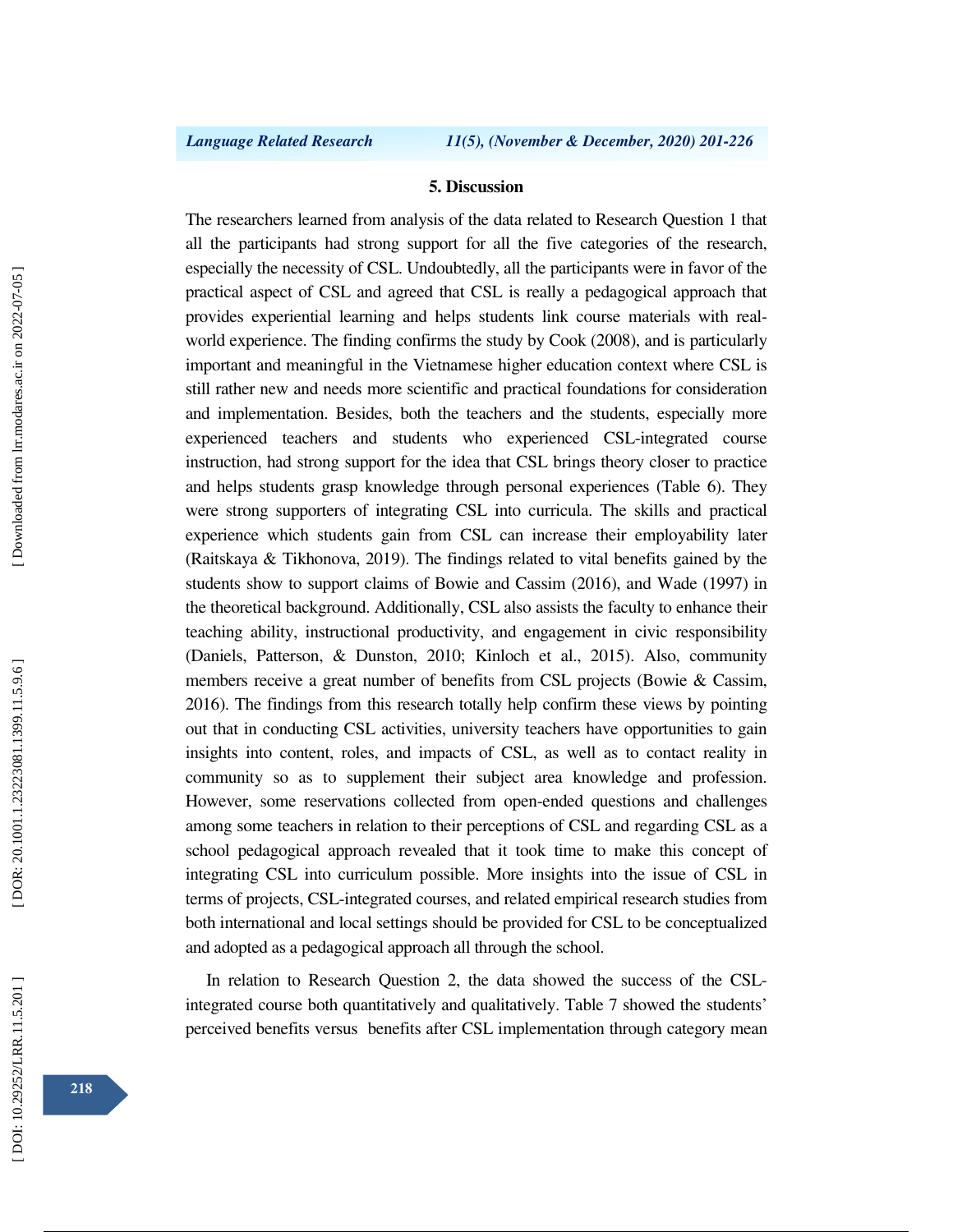### **5. Discussion**

The researchers learned from analysis of the data related to Research Question 1 that all the participants had strong support for all the five categories of the research, especially the necessity of CSL. Undoubtedly, all the participants were in favor of the practical aspect of CSL and agreed that CSL is really a pedagogical approach that provides experiential learning and helps students link course materials with realworld experience. The finding confirms the study by Cook (2008), and is particularly important and meaningful in the Vietnamese higher education context where CSL is still rather new and needs more scientific and practical foundations for consideration and implementation. Besides, both the teachers and the students, especially more experienced teachers and students who experienced CSL-integrated course instruction, had strong support for the idea that CSL brings theory closer to practice and helps students grasp knowledge through personal experiences (Table 6). They were strong supporters of integrating CSL into curricula. The skills and practical experience which students gain from CSL can increase their employability later (Raitskaya & Tikhonova, 2019). The findings related to vital benefits gained by the students show to support claims of Bowie and Cassim (2016), and Wade (1997) in the theoretical background. Additionally, CSL also assists the faculty to enhance their teaching ability, instructional productivity, and engagement in civic responsibility (Daniels, Patterson, & Dunston, 2010; Kinloch et al., 2015). Also, community members receive a great number of benefits from CSL projects (Bowie & Cassim, 2016). The findings from this research totally help confirm these views by pointing out that in conducting CSL activities, university teachers have opportunities to gain insights into content, roles, and impacts of CSL, as well as to contact reality in community so as to supplement their subject area knowledge and profession. However, some reservations collected from open-ended questions and challenges among some teachers in relation to their perceptions of CSL and regarding CSL as a school pedagogical approach revealed that it took time to make this concept of integrating CSL into curriculum possible. More insights into the issue of CSL in terms of projects, CSL-integrated courses, and related empirical research studies from both international and local settings should be provided for CSL to be conceptualized and adopted as a pedagogical approach all through the school.

In relation to Research Question 2, the data showed the success of the CSLintegrated course both quantitatively and qualitatively. Table 7 showed the students' perceived benefits versus benefits after CSL implementation through category mean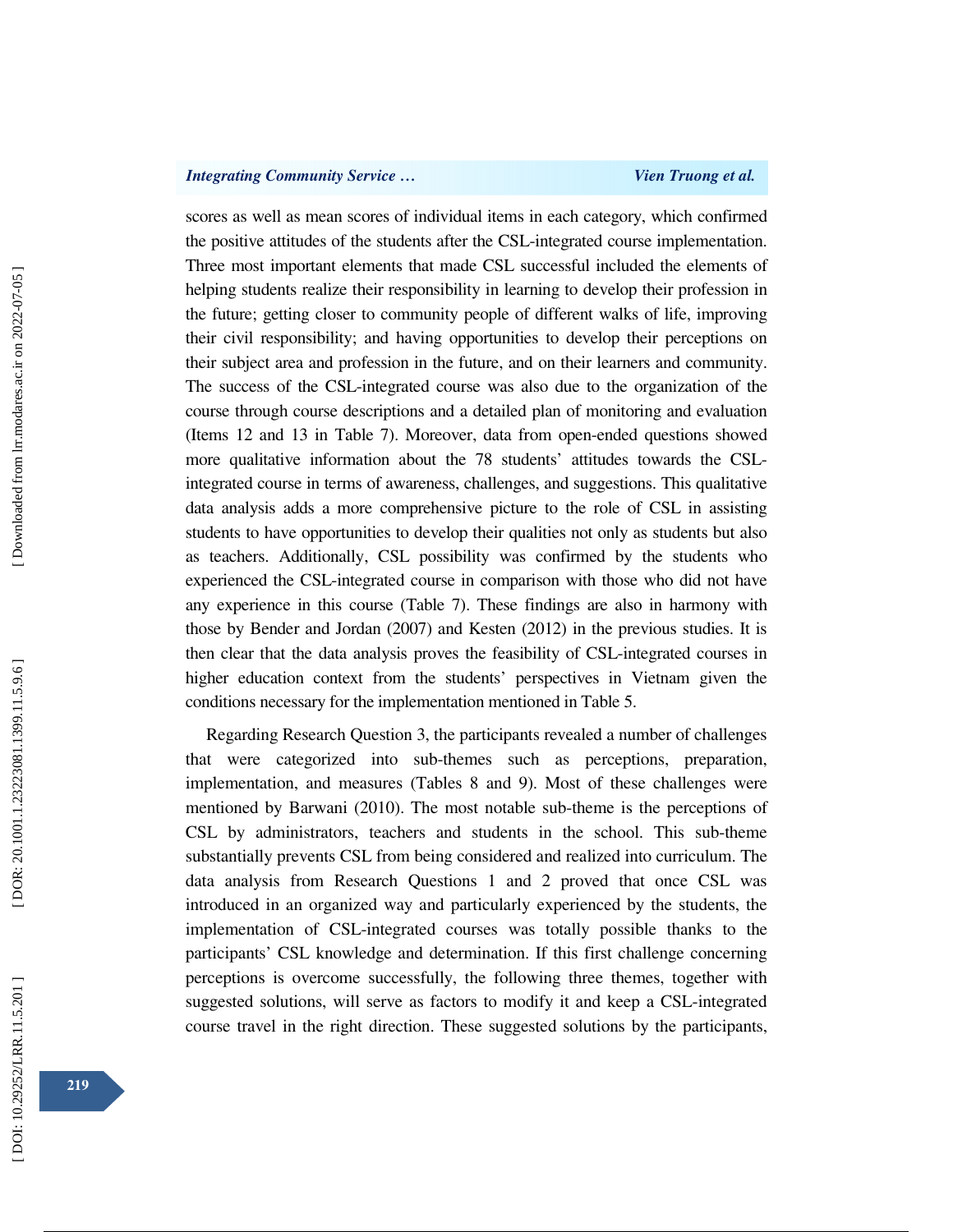## *Integrating Community Service ... Community Service ... Vien Truong et al.**Vien Truong et al.*

scores as well as mean scores of individual items in each category, which confirmed the positive attitudes of the students after the CSL-integrated course implementation. Three most important elements that made CSL successful included the elements of helping students realize their responsibility in learning to develop their profession in the future; getting closer to community people of different walks of life, improving their civil responsibility; and having opportunities to develop their perceptions on their subject area and profession in the future, and on their learners and community. The success of the CSL-integrated course was also due to the organization of the course through course descriptions and a detailed plan of monitoring and evaluation (Items 12 and 13 in Table 7). Moreover, data from open-ended questions showed more qualitative information about the 78 students' attitudes towards the CSLintegrated course in terms of awareness, challenges, and suggestions. This qualitative data analysis adds a more comprehensive picture to the role of CSL in assisting students to have opportunities to develop their qualities not only as students but also as teachers. Additionally, CSL possibility was confirmed by the students who experienced the CSL-integrated course in comparison with those who did not have any experience in this course (Table 7). These findings are also in harmony with those by Bender and Jordan (2007) and Kesten (2012) in the previous studies. It is then clear that the data analysis proves the feasibility of CSL-integrated courses in higher education context from the students' perspectives in Vietnam given the conditions necessary for the implementation mentioned in Table 5.

Regarding Research Question 3, the participants revealed a number of challenges that were categorized into sub-themes such as perceptions, preparation, implementation, and measures (Tables 8 and 9). Most of these challenges were mentioned by Barwani (2010). The most notable sub-theme is the perceptions of CSL by administrators, teachers and students in the school. This sub-theme substantially prevents CSL from being considered and realized into curriculum. The data analysis from Research Questions 1 and 2 proved that once CSL was introduced in an organized way and particularly experienced by the students, the implementation of CSL-integrated courses was totally possible thanks to the participants' CSL knowledge and determination. If this first challenge concerning perceptions is overcome successfully, the following three themes, together with suggested solutions, will serve as factors to modify it and keep a CSL-integrated course travel in the right direction. These suggested solutions by the participants,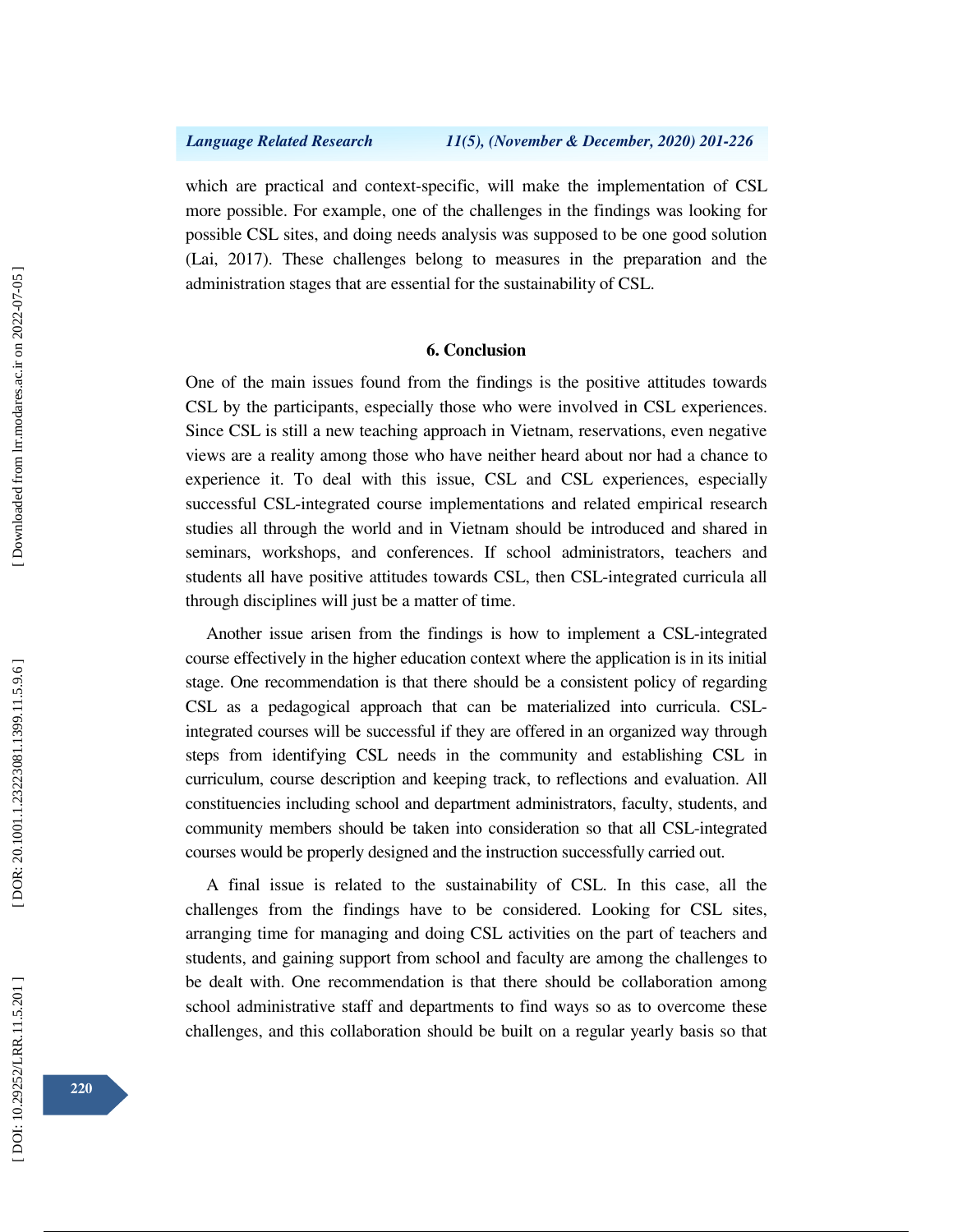which are practical and context-specific, will make the implementation of CSL more possible. For example, one of the challenges in the findings was looking for possible CSL sites, and doing needs analysis was supposed to be one good solution (Lai, 2017). These challenges belong to measures in the preparation and the administration stages that are essential for the sustainability of CSL.

## **6. Conclusion**

One of the main issues found from the findings is the positive attitudes towards CSL by the participants, especially those who were involved in CSL experiences. Since CSL is still a new teaching approach in Vietnam, reservations, even negative views are a reality among those who have neither heard about nor had a chance to experience it. To deal with this issue, CSL and CSL experiences, especially successful CSL-integrated course implementations and related empirical research studies all through the world and in Vietnam should be introduced and shared in seminars, workshops, and conferences. If school administrators, teachers and students all have positive attitudes towards CSL, then CSL-integrated curricula all through disciplines will just be a matter of time.

Another issue arisen from the findings is how to implement a CSL-integrated course effectively in the higher education context where the application is in its initial stage. One recommendation is that there should be a consistent policy of regarding CSL as a pedagogical approach that can be materialized into curricula. CSLintegrated courses will be successful if they are offered in an organized way through steps from identifying CSL needs in the community and establishing CSL in curriculum, course description and keeping track, to reflections and evaluation. All constituencies including school and department administrators, faculty, students, and community members should be taken into consideration so that all CSL-integrated courses would be properly designed and the instruction successfully carried out.

A final issue is related to the sustainability of CSL. In this case, all the challenges from the findings have to be considered. Looking for CSL sites, arranging time for managing and doing CSL activities on the part of teachers and students, and gaining support from school and faculty are among the challenges to be dealt with. One recommendation is that there should be collaboration among school administrative staff and departments to find ways so as to overcome these challenges, and this collaboration should be built on a regular yearly basis so that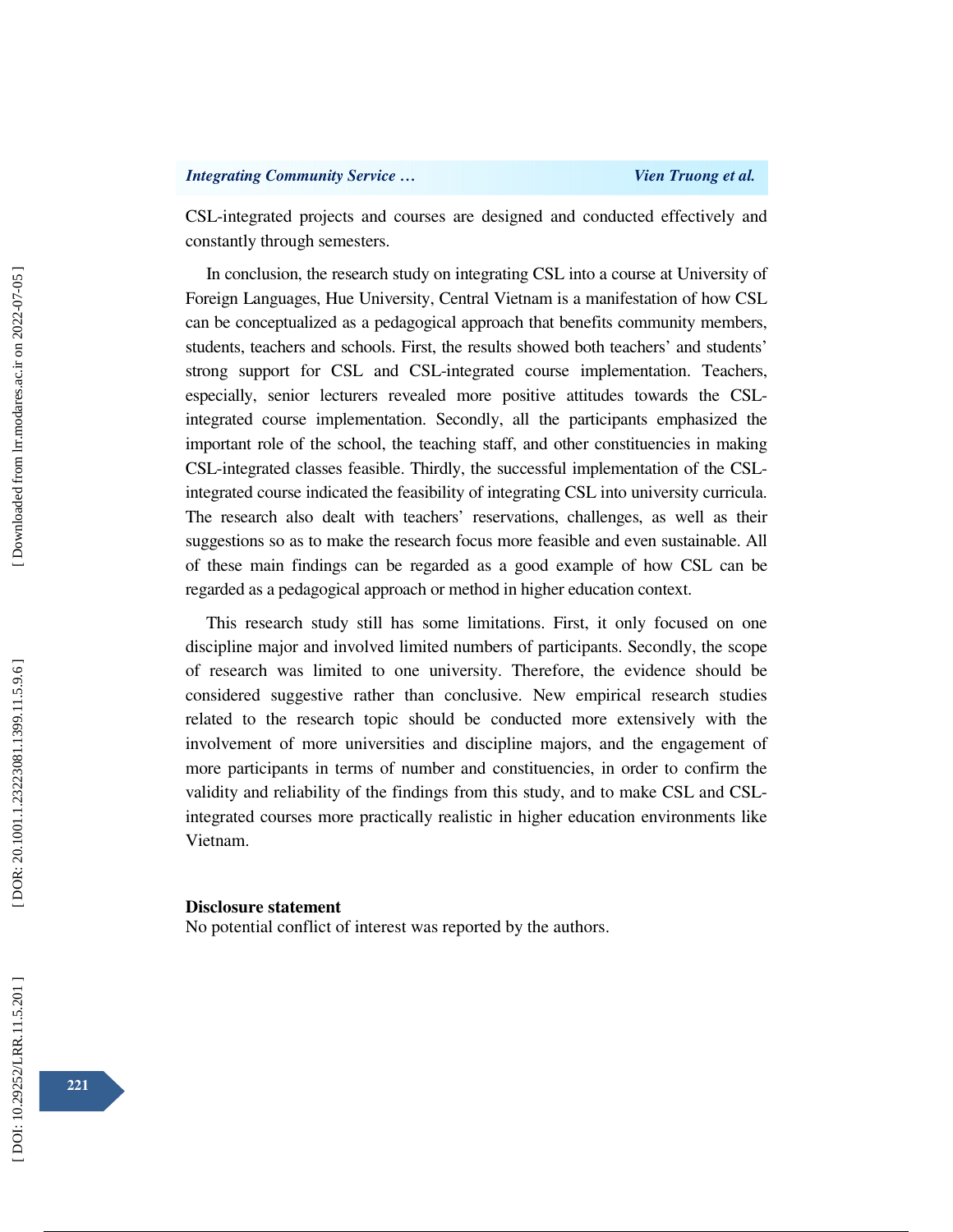CSL-integrated projects and courses are designed and conducted effectively and constantly through semesters.

In conclusion, the research study on integrating CSL into a course at University of Foreign Languages, Hue University, Central Vietnam is a manifestation of how CSL can be conceptualized as a pedagogical approach that benefits community members, students, teachers and schools. First, the results showed both teachers' and students' strong support for CSL and CSL-integrated course implementation. Teachers, especially, senior lecturers revealed more positive attitudes towards the CSLintegrated course implementation. Secondly, all the participants emphasized the important role of the school, the teaching staff, and other constituencies in making CSL-integrated classes feasible. Thirdly, the successful implementation of the CSLintegrated course indicated the feasibility of integrating CSL into university curricula. The research also dealt with teachers' reservations, challenges, as well as their suggestions so as to make the research focus more feasible and even sustainable. All of these main findings can be regarded as a good example of how CSL can be regarded as a pedagogical approach or method in higher education context.

This research study still has some limitations. First, it only focused on one discipline major and involved limited numbers of participants. Secondly, the scope of research was limited to one university. Therefore, the evidence should be considered suggestive rather than conclusive. New empirical research studies related to the research topic should be conducted more extensively with the involvement of more universities and discipline majors, and the engagement of more participants in terms of number and constituencies, in order to confirm the validity and reliability of the findings from this study, and to make CSL and CSLintegrated courses more practically realistic in higher education environments like Vietnam.

### **Disclosure statement**

No potential conflict of interest was reported by the authors.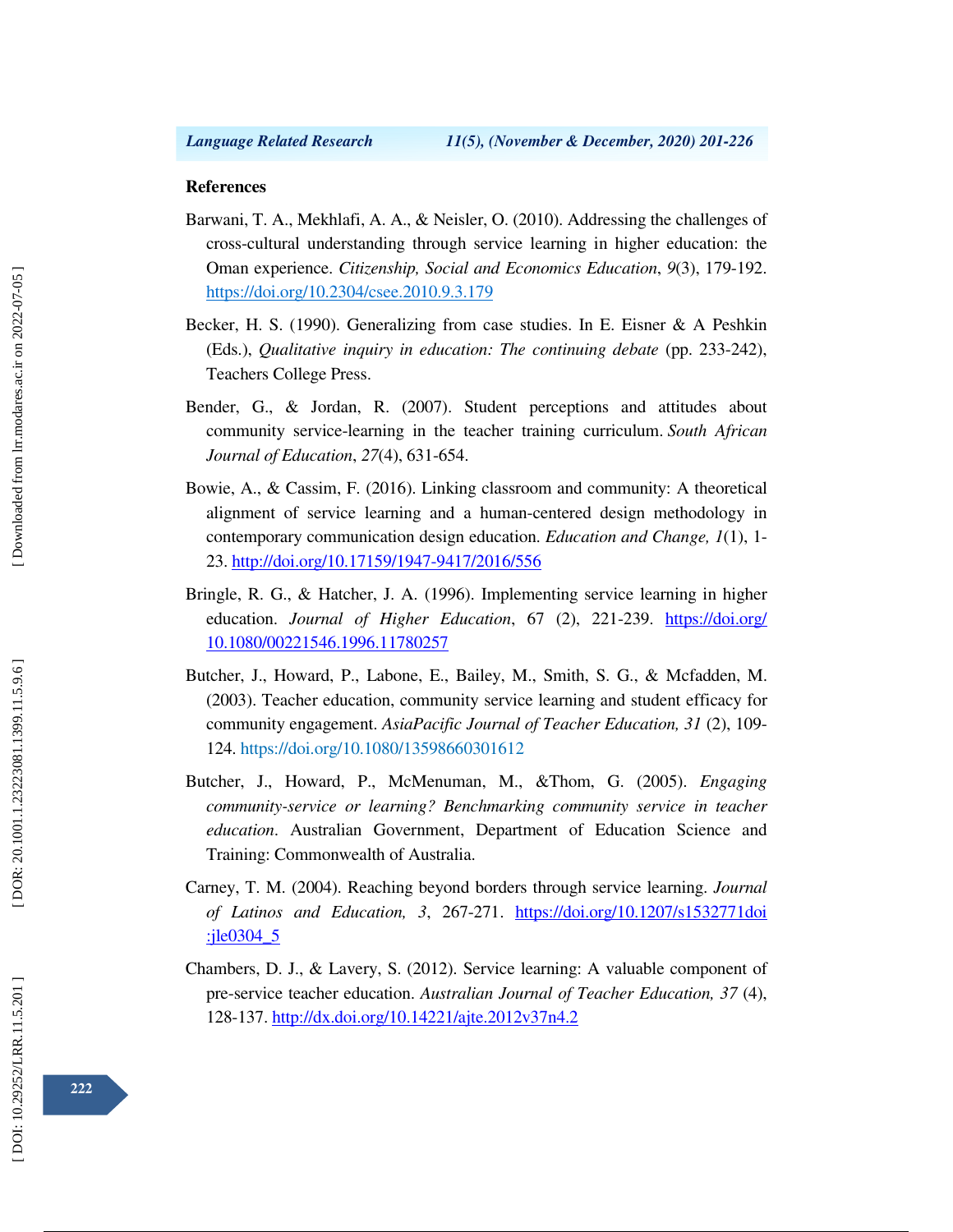### **References**

- Barwani, T. A., Mekhlafi, A. A., & Neisler, O. (2010). Addressing the challenges of cross-cultural understanding through service learning in higher education: the Oman experience. *Citizenship, Social and Economics Education*, *9*(3), 179-192. https://doi.org/10.2304/csee.2010.9.3.179
- Becker, H. S. (1990). Generalizing from case studies. In E. Eisner & A Peshkin (Eds.), *Qualitative inquiry in education: The continuing debate* (pp. 233-242), Teachers College Press.
- Bender, G., & Jordan, R. (2007). Student perceptions and attitudes about community service-learning in the teacher training curriculum. *South African Journal of Education*, *27*(4), 631-654.
- Bowie, A., & Cassim, F. (2016). Linking classroom and community: A theoretical alignment of service learning and a human-centered design methodology in contemporary communication design education. *Education and Change, 1*(1), 1- 23. http://doi.org/10.17159/1947-9417/2016/556
- Bringle, R. G., & Hatcher, J. A. (1996). Implementing service learning in higher education. *Journal of Higher Education*, 67 (2), 221-239. https://doi.org/ 10.1080/00221546.1996.11780257
- Butcher, J., Howard, P., Labone, E., Bailey, M., Smith, S. G., & Mcfadden, M. (2003). Teacher education, community service learning and student efficacy for community engagement. *AsiaPacific Journal of Teacher Education, 31* (2), 109- 124. https://doi.org/10.1080/13598660301612
- Butcher, J., Howard, P., McMenuman, M., &Thom, G. (2005). *Engaging community-service or learning? Benchmarking community service in teacher education*. Australian Government, Department of Education Science and Training: Commonwealth of Australia.
- Carney, T. M. (2004). Reaching beyond borders through service learning. *Journal of Latinos and Education, 3*, 267-271. https://doi.org/10.1207/s1532771doi :jle0304\_5
- Chambers, D. J., & Lavery, S. (2012). Service learning: A valuable component of pre-service teacher education. *Australian Journal of Teacher Education, 37* (4), 128-137. http://dx.doi.org/10.14221/ajte.2012v37n4.2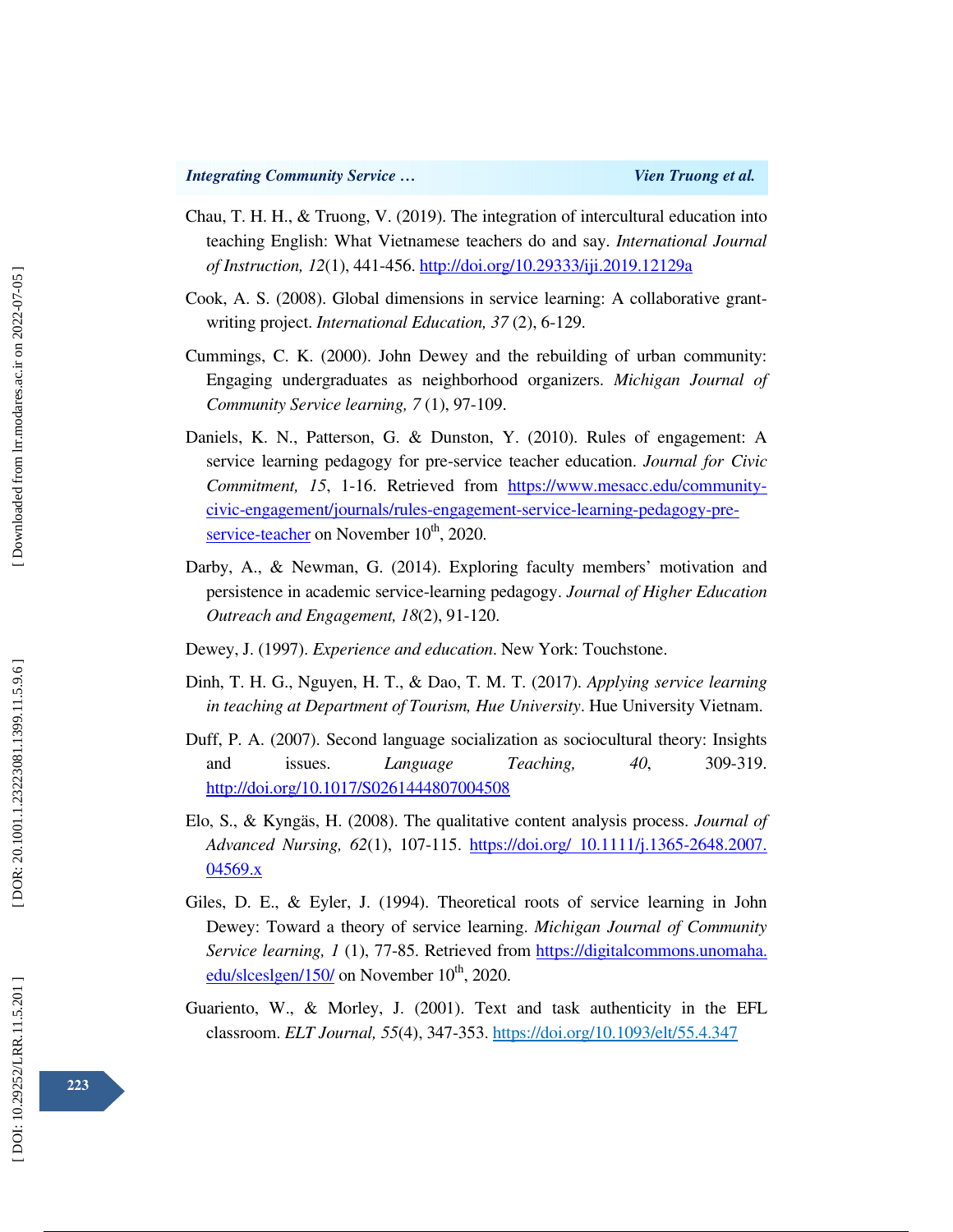- Chau, T. H. H., & Truong, V. (2019). The integration of intercultural education into teaching English: What Vietnamese teachers do and say. *International Journal of Instruction, 12*(1), 441-456. http://doi.org/10.29333/iji.2019.12129a
- Cook, A. S. (2008). Global dimensions in service learning: A collaborative grantwriting project. *International Education, 37* (2), 6-129.
- Cummings, C. K. (2000). John Dewey and the rebuilding of urban community: Engaging undergraduates as neighborhood organizers. *Michigan Journal of Community Service learning, 7* (1), 97-109.
- Daniels, K. N., Patterson, G. & Dunston, Y. (2010). Rules of engagement: A service learning pedagogy for pre-service teacher education. *Journal for Civic Commitment, 15*, 1-16. Retrieved from https://www.mesacc.edu/communitycivic-engagement/journals/rules-engagement-service-learning-pedagogy-preservice-teacher on November  $10^{th}$ , 2020.
- Darby, A., & Newman, G. (2014). Exploring faculty members' motivation and persistence in academic service-learning pedagogy. *Journal of Higher Education Outreach and Engagement, 18*(2), 91-120.
- Dewey, J. (1997). *Experience and education*. New York: Touchstone.
- Dinh, T. H. G., Nguyen, H. T., & Dao, T. M. T. (2017). *Applying service learning in teaching at Department of Tourism, Hue University*. Hue University Vietnam.
- Duff, P. A. (2007). Second language socialization as sociocultural theory: Insights and issues. *Language Teaching, 40*, 309-319. http://doi.org/10.1017/S0261444807004508
- Elo, S., & Kyngäs, H. (2008). The qualitative content analysis process. *Journal of Advanced Nursing, 62*(1), 107-115. https://doi.org/ 10.1111/j.1365-2648.2007. 04569.x
- Giles, D. E., & Eyler, J. (1994). Theoretical roots of service learning in John Dewey: Toward a theory of service learning. *Michigan Journal of Community Service learning, 1* (1), 77-85. Retrieved from https://digitalcommons.unomaha. edu/slceslgen/150/ on November  $10^{th}$ , 2020.
- Guariento, W., & Morley, J. (2001). Text and task authenticity in the EFL classroom. *ELT Journal, 55*(4), 347-353. https://doi.org/10.1093/elt/55.4.347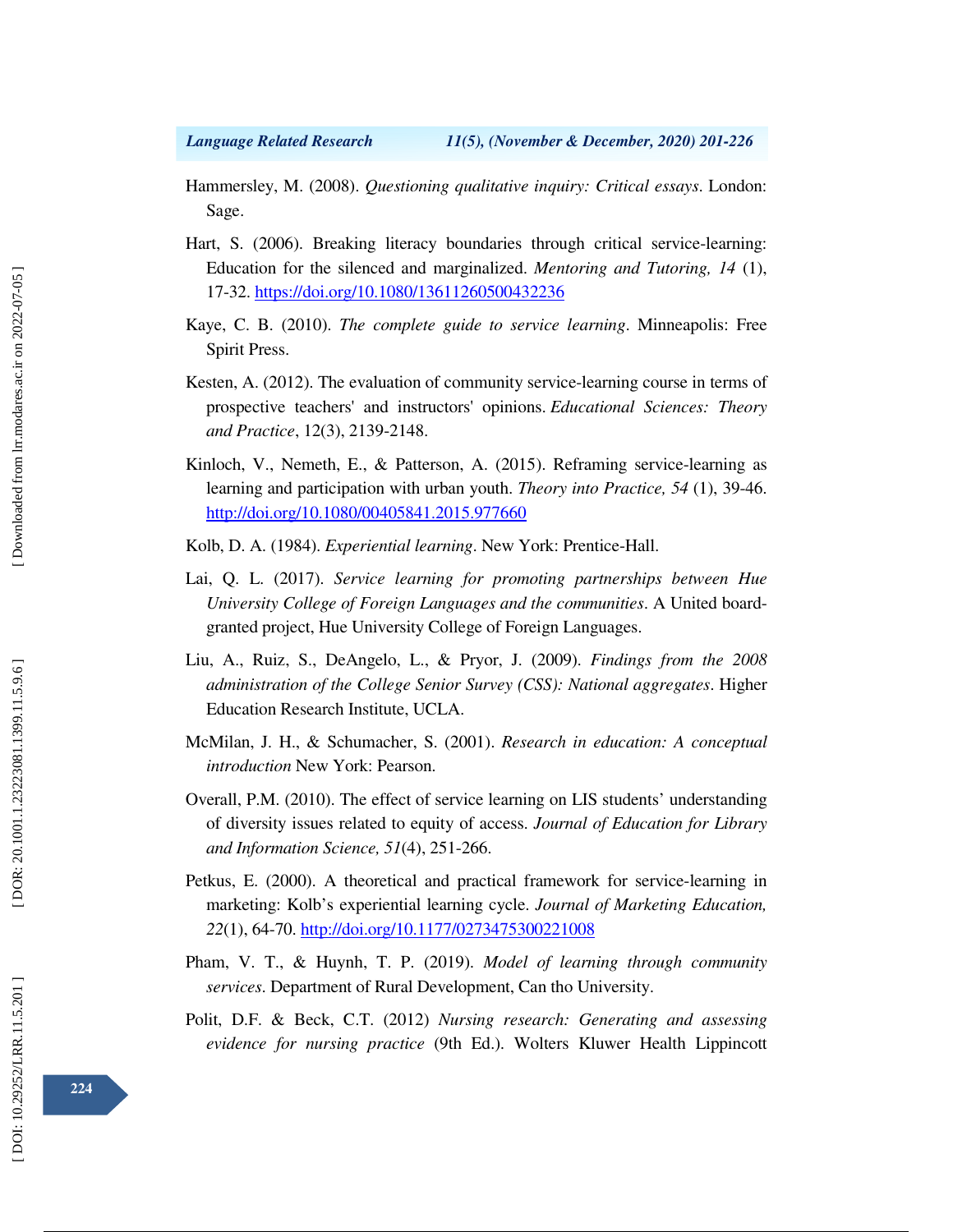- Hammersley, M. (2008). *Questioning qualitative inquiry: Critical essays*. London: Sage.
- Hart, S. (2006). Breaking literacy boundaries through critical service-learning: Education for the silenced and marginalized. *Mentoring and Tutoring, 14* (1), 17-32. https://doi.org/10.1080/13611260500432236
- Kaye, C. B. (2010). *The complete guide to service learning*. Minneapolis: Free Spirit Press.
- Kesten, A. (2012). The evaluation of community service-learning course in terms of prospective teachers' and instructors' opinions. *Educational Sciences: Theory and Practice*, 12(3), 2139-2148.
- Kinloch, V., Nemeth, E., & Patterson, A. (2015). Reframing service-learning as learning and participation with urban youth. *Theory into Practice, 54* (1), 39-46. http://doi.org/10.1080/00405841.2015.977660
- Kolb, D. A. (1984). *Experiential learning*. New York: Prentice-Hall.
- Lai, Q. L. (2017). *Service learning for promoting partnerships between Hue University College of Foreign Languages and the communities*. A United boardgranted project, Hue University College of Foreign Languages.
- Liu, A., Ruiz, S., DeAngelo, L., & Pryor, J. (2009). *Findings from the 2008 administration of the College Senior Survey (CSS): National aggregates*. Higher Education Research Institute, UCLA.
- McMilan, J. H., & Schumacher, S. (2001). *Research in education: A conceptual introduction* New York: Pearson.
- Overall, P.M. (2010). The effect of service learning on LIS students' understanding of diversity issues related to equity of access. *Journal of Education for Library and Information Science, 51*(4), 251-266.
- Petkus, E. (2000). A theoretical and practical framework for service-learning in marketing: Kolb's experiential learning cycle. *Journal of Marketing Education, 22*(1), 64-70. http://doi.org/10.1177/0273475300221008
- Pham, V. T., & Huynh, T. P. (2019). *Model of learning through community services*. Department of Rural Development, Can tho University.
- Polit, D.F. & Beck, C.T. (2012) *Nursing research: Generating and assessing evidence for nursing practice* (9th Ed.). Wolters Kluwer Health Lippincott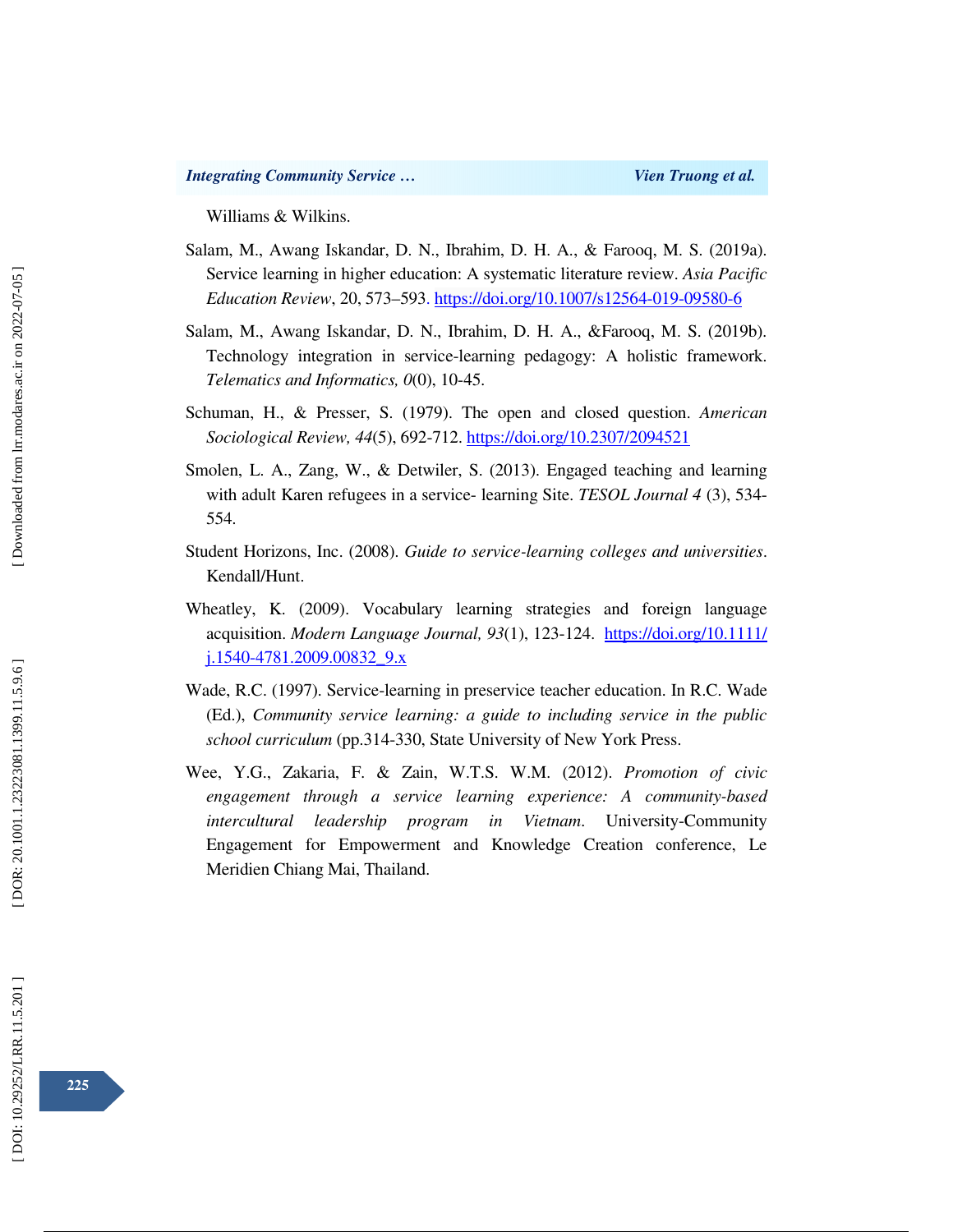Williams & Wilkins.

- Salam, M., Awang Iskandar, D. N., Ibrahim, D. H. A., & Farooq, M. S. (2019a). Service learning in higher education: A systematic literature review. *Asia Pacific Education Review*, 20, 573–593. https://doi.org/10.1007/s12564-019-09580-6
- Salam, M., Awang Iskandar, D. N., Ibrahim, D. H. A., &Farooq, M. S. (2019b). Technology integration in service-learning pedagogy: A holistic framework. *Telematics and Informatics, 0*(0), 10-45.
- Schuman, H., & Presser, S. (1979). The open and closed question. *American Sociological Review, 44*(5), 692-712. https://doi.org/10.2307/2094521
- Smolen, L. A., Zang, W., & Detwiler, S. (2013). Engaged teaching and learning with adult Karen refugees in a service- learning Site. *TESOL Journal 4* (3), 534- 554.
- Student Horizons, Inc. (2008). *Guide to service-learning colleges and universities*. Kendall/Hunt.
- Wheatley, K. (2009). Vocabulary learning strategies and foreign language acquisition. *Modern Language Journal, 93*(1), 123-124. https://doi.org/10.1111/ j.1540-4781.2009.00832\_9.x
- Wade, R.C. (1997). Service-learning in preservice teacher education. In R.C. Wade (Ed.), *Community service learning: a guide to including service in the public school curriculum* (pp.314-330, State University of New York Press.
- Wee, Y.G., Zakaria, F. & Zain, W.T.S. W.M. (2012). *Promotion of civic engagement through a service learning experience: A community-based intercultural leadership program in Vietnam*. University-Community Engagement for Empowerment and Knowledge Creation conference, Le Meridien Chiang Mai, Thailand.